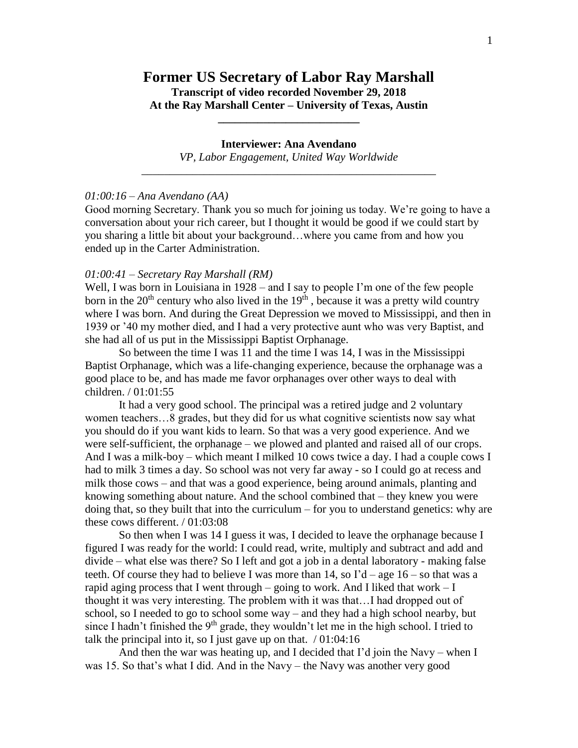# **Former US Secretary of Labor Ray Marshall Transcript of video recorded November 29, 2018 At the Ray Marshall Center – University of Texas, Austin**

**\_\_\_\_\_\_\_\_\_\_\_\_\_\_\_\_\_\_\_\_\_\_\_\_\_**

## **Interviewer: Ana Avendano**

*VP, Labor Engagement, United Way Worldwide* \_\_\_\_\_\_\_\_\_\_\_\_\_\_\_\_\_\_\_\_\_\_\_\_\_\_\_\_\_\_\_\_\_\_\_\_\_\_\_\_\_\_\_\_\_\_\_\_\_\_\_\_

#### *01:00:16 – Ana Avendano (AA)*

Good morning Secretary. Thank you so much for joining us today. We're going to have a conversation about your rich career, but I thought it would be good if we could start by you sharing a little bit about your background…where you came from and how you ended up in the Carter Administration.

## *01:00:41 – Secretary Ray Marshall (RM)*

Well, I was born in Louisiana in 1928 – and I say to people I'm one of the few people born in the  $20<sup>th</sup>$  century who also lived in the  $19<sup>th</sup>$ , because it was a pretty wild country where I was born. And during the Great Depression we moved to Mississippi, and then in 1939 or '40 my mother died, and I had a very protective aunt who was very Baptist, and she had all of us put in the Mississippi Baptist Orphanage.

So between the time I was 11 and the time I was 14, I was in the Mississippi Baptist Orphanage, which was a life-changing experience, because the orphanage was a good place to be, and has made me favor orphanages over other ways to deal with children. / 01:01:55

It had a very good school. The principal was a retired judge and 2 voluntary women teachers…8 grades, but they did for us what cognitive scientists now say what you should do if you want kids to learn. So that was a very good experience. And we were self-sufficient, the orphanage – we plowed and planted and raised all of our crops. And I was a milk-boy – which meant I milked 10 cows twice a day. I had a couple cows I had to milk 3 times a day. So school was not very far away - so I could go at recess and milk those cows – and that was a good experience, being around animals, planting and knowing something about nature. And the school combined that – they knew you were doing that, so they built that into the curriculum – for you to understand genetics: why are these cows different. / 01:03:08

So then when I was 14 I guess it was, I decided to leave the orphanage because I figured I was ready for the world: I could read, write, multiply and subtract and add and divide – what else was there? So I left and got a job in a dental laboratory - making false teeth. Of course they had to believe I was more than  $14$ , so  $\Gamma d - a$ ge  $16 -$  so that was a rapid aging process that I went through – going to work. And I liked that work  $-I$ thought it was very interesting. The problem with it was that…I had dropped out of school, so I needed to go to school some way – and they had a high school nearby, but since I hadn't finished the 9<sup>th</sup> grade, they wouldn't let me in the high school. I tried to talk the principal into it, so I just gave up on that.  $/ 01:04:16$ 

And then the war was heating up, and I decided that I'd join the Navy – when I was 15. So that's what I did. And in the Navy – the Navy was another very good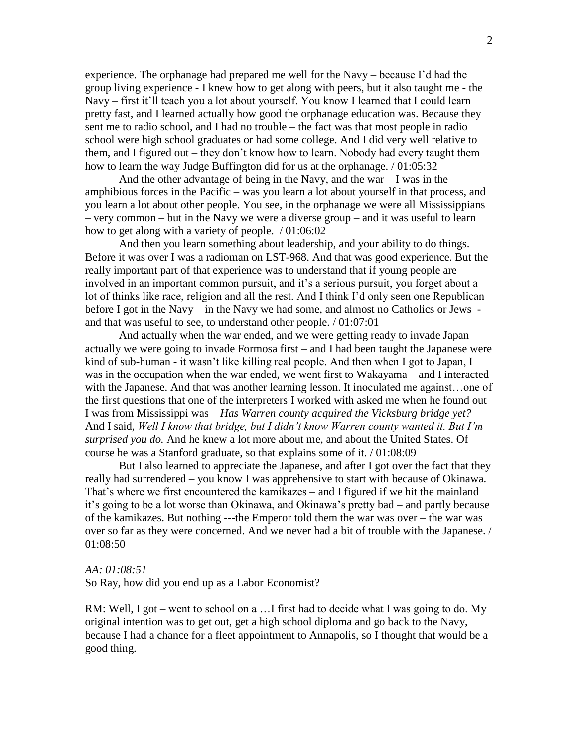experience. The orphanage had prepared me well for the Navy – because I'd had the group living experience - I knew how to get along with peers, but it also taught me - the Navy – first it'll teach you a lot about yourself. You know I learned that I could learn pretty fast, and I learned actually how good the orphanage education was. Because they sent me to radio school, and I had no trouble – the fact was that most people in radio school were high school graduates or had some college. And I did very well relative to them, and I figured out – they don't know how to learn. Nobody had every taught them how to learn the way Judge Buffington did for us at the orphanage. / 01:05:32

And the other advantage of being in the Navy, and the war  $-1$  was in the amphibious forces in the Pacific – was you learn a lot about yourself in that process, and you learn a lot about other people. You see, in the orphanage we were all Mississippians – very common – but in the Navy we were a diverse group – and it was useful to learn how to get along with a variety of people. / 01:06:02

And then you learn something about leadership, and your ability to do things. Before it was over I was a radioman on LST-968. And that was good experience. But the really important part of that experience was to understand that if young people are involved in an important common pursuit, and it's a serious pursuit, you forget about a lot of thinks like race, religion and all the rest. And I think I'd only seen one Republican before I got in the Navy – in the Navy we had some, and almost no Catholics or Jews and that was useful to see, to understand other people. / 01:07:01

And actually when the war ended, and we were getting ready to invade Japan – actually we were going to invade Formosa first – and I had been taught the Japanese were kind of sub-human - it wasn't like killing real people. And then when I got to Japan, I was in the occupation when the war ended, we went first to Wakayama – and I interacted with the Japanese. And that was another learning lesson. It inoculated me against...one of the first questions that one of the interpreters I worked with asked me when he found out I was from Mississippi was – *Has Warren county acquired the Vicksburg bridge yet?* And I said, *Well I know that bridge, but I didn't know Warren county wanted it. But I'm surprised you do.* And he knew a lot more about me, and about the United States. Of course he was a Stanford graduate, so that explains some of it. / 01:08:09

But I also learned to appreciate the Japanese, and after I got over the fact that they really had surrendered – you know I was apprehensive to start with because of Okinawa. That's where we first encountered the kamikazes – and I figured if we hit the mainland it's going to be a lot worse than Okinawa, and Okinawa's pretty bad – and partly because of the kamikazes. But nothing ---the Emperor told them the war was over – the war was over so far as they were concerned. And we never had a bit of trouble with the Japanese. / 01:08:50

#### *AA: 01:08:51*

So Ray, how did you end up as a Labor Economist?

RM: Well, I got – went to school on a ... I first had to decide what I was going to do. My original intention was to get out, get a high school diploma and go back to the Navy, because I had a chance for a fleet appointment to Annapolis, so I thought that would be a good thing.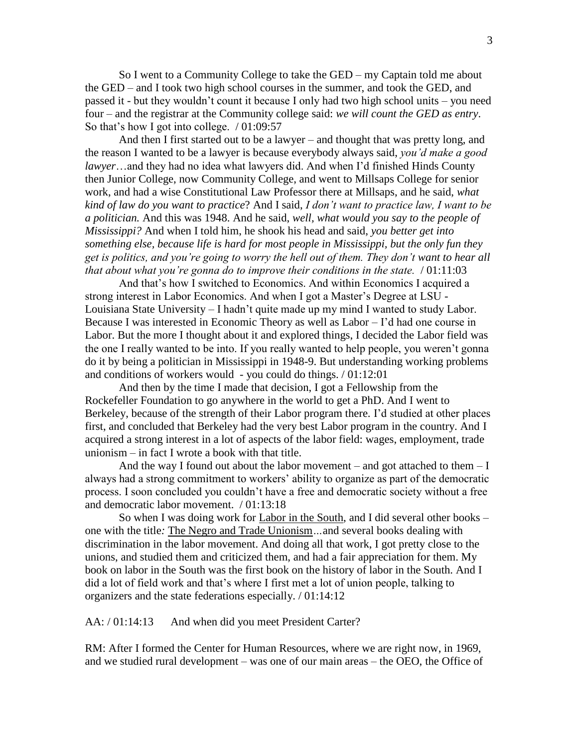So I went to a Community College to take the GED – my Captain told me about the GED – and I took two high school courses in the summer, and took the GED, and passed it - but they wouldn't count it because I only had two high school units – you need four – and the registrar at the Community college said: *we will count the GED as entry*. So that's how I got into college. / 01:09:57

And then I first started out to be a lawyer – and thought that was pretty long, and the reason I wanted to be a lawyer is because everybody always said, *you'd make a good lawyer*…and they had no idea what lawyers did. And when I'd finished Hinds County then Junior College, now Community College, and went to Millsaps College for senior work, and had a wise Constitutional Law Professor there at Millsaps, and he said, *what kind of law do you want to practice*? And I said, *I don't want to practice law, I want to be a politician.* And this was 1948. And he said, *well, what would you say to the people of Mississippi?* And when I told him, he shook his head and said, *you better get into something else, because life is hard for most people in Mississippi, but the only fun they get is politics, and you're going to worry the hell out of them. They don't want to hear all that about what you're gonna do to improve their conditions in the state.* / 01:11:03

And that's how I switched to Economics. And within Economics I acquired a strong interest in Labor Economics. And when I got a Master's Degree at LSU - Louisiana State University – I hadn't quite made up my mind I wanted to study Labor. Because I was interested in Economic Theory as well as Labor – I'd had one course in Labor. But the more I thought about it and explored things, I decided the Labor field was the one I really wanted to be into. If you really wanted to help people, you weren't gonna do it by being a politician in Mississippi in 1948-9. But understanding working problems and conditions of workers would - you could do things. / 01:12:01

And then by the time I made that decision, I got a Fellowship from the Rockefeller Foundation to go anywhere in the world to get a PhD. And I went to Berkeley, because of the strength of their Labor program there. I'd studied at other places first, and concluded that Berkeley had the very best Labor program in the country. And I acquired a strong interest in a lot of aspects of the labor field: wages, employment, trade unionism – in fact I wrote a book with that title.

And the way I found out about the labor movement – and got attached to them  $-I$ always had a strong commitment to workers' ability to organize as part of the democratic process. I soon concluded you couldn't have a free and democratic society without a free and democratic labor movement. / 01:13:18

So when I was doing work for Labor in the South, and I did several other books – one with the title*:* The Negro and Trade Unionism*…*and several books dealing with discrimination in the labor movement. And doing all that work, I got pretty close to the unions, and studied them and criticized them, and had a fair appreciation for them. My book on labor in the South was the first book on the history of labor in the South. And I did a lot of field work and that's where I first met a lot of union people, talking to organizers and the state federations especially. / 01:14:12

AA: / 01:14:13 And when did you meet President Carter?

RM: After I formed the Center for Human Resources, where we are right now, in 1969, and we studied rural development – was one of our main areas – the OEO, the Office of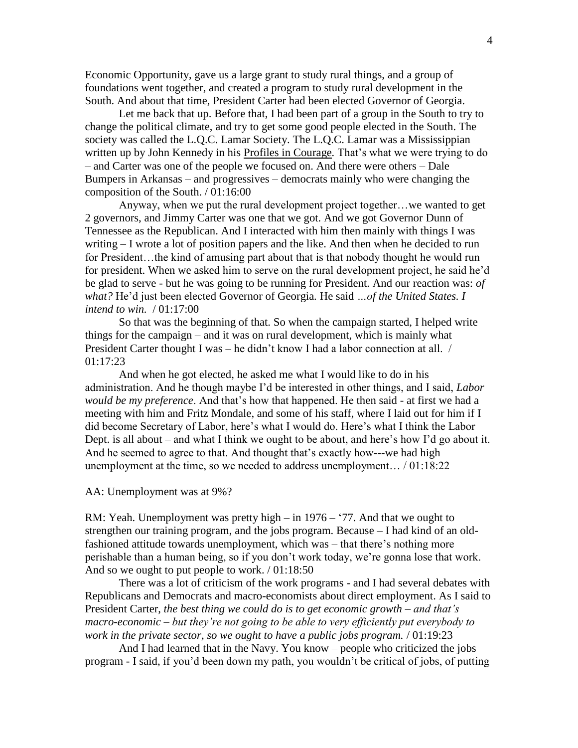Economic Opportunity, gave us a large grant to study rural things, and a group of foundations went together, and created a program to study rural development in the South. And about that time, President Carter had been elected Governor of Georgia.

Let me back that up. Before that, I had been part of a group in the South to try to change the political climate, and try to get some good people elected in the South. The society was called the L.Q.C. Lamar Society. The L.Q.C. Lamar was a Mississippian written up by John Kennedy in his Profiles in Courage*.* That's what we were trying to do – and Carter was one of the people we focused on. And there were others – Dale Bumpers in Arkansas – and progressives – democrats mainly who were changing the composition of the South. / 01:16:00

Anyway, when we put the rural development project together…we wanted to get 2 governors, and Jimmy Carter was one that we got. And we got Governor Dunn of Tennessee as the Republican. And I interacted with him then mainly with things I was writing – I wrote a lot of position papers and the like. And then when he decided to run for President…the kind of amusing part about that is that nobody thought he would run for president. When we asked him to serve on the rural development project, he said he'd be glad to serve - but he was going to be running for President. And our reaction was: *of what?* He'd just been elected Governor of Georgia*.* He said *…of the United States. I intend to win.* / 01:17:00

So that was the beginning of that. So when the campaign started, I helped write things for the campaign – and it was on rural development, which is mainly what President Carter thought I was – he didn't know I had a labor connection at all. / 01:17:23

And when he got elected, he asked me what I would like to do in his administration. And he though maybe I'd be interested in other things, and I said, *Labor would be my preference*. And that's how that happened. He then said - at first we had a meeting with him and Fritz Mondale, and some of his staff, where I laid out for him if I did become Secretary of Labor, here's what I would do. Here's what I think the Labor Dept. is all about – and what I think we ought to be about, and here's how I'd go about it. And he seemed to agree to that. And thought that's exactly how---we had high unemployment at the time, so we needed to address unemployment… / 01:18:22

#### AA: Unemployment was at 9%?

RM: Yeah. Unemployment was pretty high – in 1976 – '77. And that we ought to strengthen our training program, and the jobs program. Because – I had kind of an oldfashioned attitude towards unemployment, which was – that there's nothing more perishable than a human being, so if you don't work today, we're gonna lose that work. And so we ought to put people to work. / 01:18:50

There was a lot of criticism of the work programs - and I had several debates with Republicans and Democrats and macro-economists about direct employment. As I said to President Carter, *the best thing we could do is to get economic growth – and that's macro-economic – but they're not going to be able to very efficiently put everybody to work in the private sector, so we ought to have a public jobs program.* / 01:19:23

And I had learned that in the Navy. You know – people who criticized the jobs program - I said, if you'd been down my path, you wouldn't be critical of jobs, of putting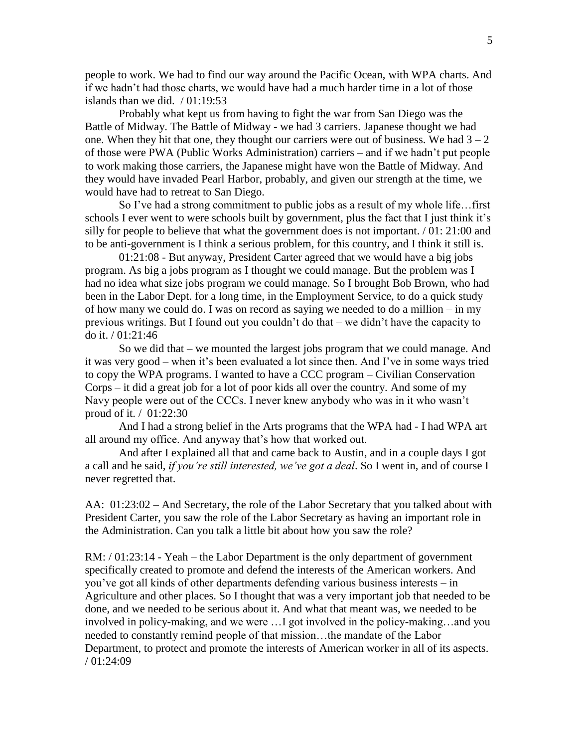people to work. We had to find our way around the Pacific Ocean, with WPA charts. And if we hadn't had those charts, we would have had a much harder time in a lot of those islands than we did.  $/ 01:19:53$ 

Probably what kept us from having to fight the war from San Diego was the Battle of Midway. The Battle of Midway - we had 3 carriers. Japanese thought we had one. When they hit that one, they thought our carriers were out of business. We had  $3 - 2$ of those were PWA (Public Works Administration) carriers – and if we hadn't put people to work making those carriers, the Japanese might have won the Battle of Midway. And they would have invaded Pearl Harbor, probably, and given our strength at the time, we would have had to retreat to San Diego.

So I've had a strong commitment to public jobs as a result of my whole life…first schools I ever went to were schools built by government, plus the fact that I just think it's silly for people to believe that what the government does is not important. / 01: 21:00 and to be anti-government is I think a serious problem, for this country, and I think it still is.

01:21:08 - But anyway, President Carter agreed that we would have a big jobs program. As big a jobs program as I thought we could manage. But the problem was I had no idea what size jobs program we could manage. So I brought Bob Brown, who had been in the Labor Dept. for a long time, in the Employment Service, to do a quick study of how many we could do. I was on record as saying we needed to do a million – in my previous writings. But I found out you couldn't do that – we didn't have the capacity to do it. / 01:21:46

So we did that – we mounted the largest jobs program that we could manage. And it was very good – when it's been evaluated a lot since then. And I've in some ways tried to copy the WPA programs. I wanted to have a CCC program – Civilian Conservation Corps – it did a great job for a lot of poor kids all over the country. And some of my Navy people were out of the CCCs. I never knew anybody who was in it who wasn't proud of it. / 01:22:30

And I had a strong belief in the Arts programs that the WPA had - I had WPA art all around my office. And anyway that's how that worked out.

And after I explained all that and came back to Austin, and in a couple days I got a call and he said, *if you're still interested, we've got a deal*. So I went in, and of course I never regretted that.

AA: 01:23:02 – And Secretary, the role of the Labor Secretary that you talked about with President Carter, you saw the role of the Labor Secretary as having an important role in the Administration. Can you talk a little bit about how you saw the role?

RM: / 01:23:14 - Yeah – the Labor Department is the only department of government specifically created to promote and defend the interests of the American workers. And you've got all kinds of other departments defending various business interests – in Agriculture and other places. So I thought that was a very important job that needed to be done, and we needed to be serious about it. And what that meant was, we needed to be involved in policy-making, and we were …I got involved in the policy-making…and you needed to constantly remind people of that mission…the mandate of the Labor Department, to protect and promote the interests of American worker in all of its aspects. / 01:24:09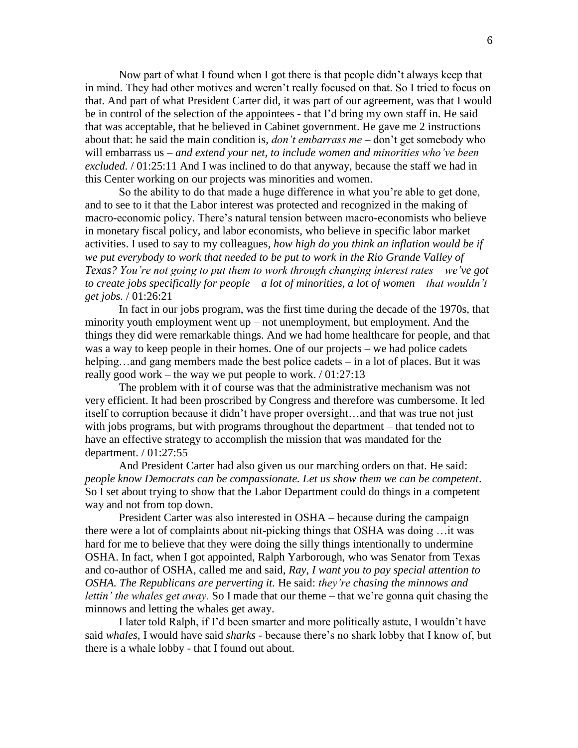Now part of what I found when I got there is that people didn't always keep that in mind. They had other motives and weren't really focused on that. So I tried to focus on that. And part of what President Carter did, it was part of our agreement, was that I would be in control of the selection of the appointees - that I'd bring my own staff in. He said that was acceptable, that he believed in Cabinet government. He gave me 2 instructions about that: he said the main condition is, *don't embarrass me* – don't get somebody who will embarrass us – *and extend your net, to include women and minorities who've been excluded.* / 01:25:11 And I was inclined to do that anyway, because the staff we had in this Center working on our projects was minorities and women.

So the ability to do that made a huge difference in what you're able to get done, and to see to it that the Labor interest was protected and recognized in the making of macro-economic policy. There's natural tension between macro-economists who believe in monetary fiscal policy, and labor economists, who believe in specific labor market activities. I used to say to my colleagues*, how high do you think an inflation would be if we put everybody to work that needed to be put to work in the Rio Grande Valley of Texas? You're not going to put them to work through changing interest rates – we've got to create jobs specifically for people – a lot of minorities, a lot of women – that wouldn't get jobs.* / 01:26:21

In fact in our jobs program, was the first time during the decade of the 1970s, that minority youth employment went up – not unemployment, but employment. And the things they did were remarkable things. And we had home healthcare for people, and that was a way to keep people in their homes. One of our projects – we had police cadets helping...and gang members made the best police cadets – in a lot of places. But it was really good work – the way we put people to work.  $/ 01:27:13$ 

The problem with it of course was that the administrative mechanism was not very efficient. It had been proscribed by Congress and therefore was cumbersome. It led itself to corruption because it didn't have proper oversight…and that was true not just with jobs programs, but with programs throughout the department – that tended not to have an effective strategy to accomplish the mission that was mandated for the department. / 01:27:55

And President Carter had also given us our marching orders on that. He said: *people know Democrats can be compassionate. Let us show them we can be competent*. So I set about trying to show that the Labor Department could do things in a competent way and not from top down.

President Carter was also interested in OSHA – because during the campaign there were a lot of complaints about nit-picking things that OSHA was doing …it was hard for me to believe that they were doing the silly things intentionally to undermine OSHA. In fact, when I got appointed, Ralph Yarborough, who was Senator from Texas and co-author of OSHA, called me and said, *Ray, I want you to pay special attention to OSHA. The Republicans are perverting it.* He said: *they're chasing the minnows and lettin' the whales get away.* So I made that our theme – that we're gonna quit chasing the minnows and letting the whales get away.

I later told Ralph, if I'd been smarter and more politically astute, I wouldn't have said *whales*, I would have said *sharks* - because there's no shark lobby that I know of, but there is a whale lobby - that I found out about.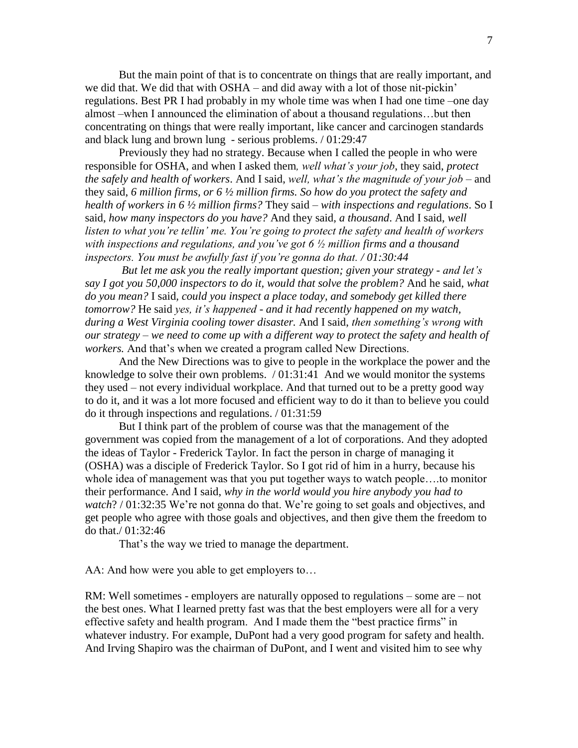But the main point of that is to concentrate on things that are really important, and we did that. We did that with OSHA – and did away with a lot of those nit-pickin' regulations. Best PR I had probably in my whole time was when I had one time –one day almost –when I announced the elimination of about a thousand regulations…but then concentrating on things that were really important, like cancer and carcinogen standards and black lung and brown lung - serious problems. / 01:29:47

Previously they had no strategy. Because when I called the people in who were responsible for OSHA, and when I asked them*, well what's your job*, they said, *protect the safely and health of workers*. And I said, *well, what's the magnitude of your job* – and they said, *6 million firms, or 6 ½ million firms. So how do you protect the safety and health of workers in 6 ½ million firms?* They said – *with inspections and regulations*. So I said, *how many inspectors do you have?* And they said, *a thousand*. And I said, *well listen to what you're tellin' me. You're going to protect the safety and health of workers with inspections and regulations, and you've got 6 ½ million firms and a thousand inspectors. You must be awfully fast if you're gonna do that. / 01:30:44*

*But let me ask you the really important question; given your strategy - and let's say I got you 50,000 inspectors to do it, would that solve the problem?* And he said, *what do you mean?* I said*, could you inspect a place today, and somebody get killed there tomorrow?* He said *yes, it's happened - and it had recently happened on my watch, during a West Virginia cooling tower disaster.* And I said, *then something's wrong with our strategy – we need to come up with a different way to protect the safety and health of workers.* And that's when we created a program called New Directions.

And the New Directions was to give to people in the workplace the power and the knowledge to solve their own problems. / 01:31:41 And we would monitor the systems they used – not every individual workplace. And that turned out to be a pretty good way to do it, and it was a lot more focused and efficient way to do it than to believe you could do it through inspections and regulations. / 01:31:59

But I think part of the problem of course was that the management of the government was copied from the management of a lot of corporations. And they adopted the ideas of Taylor - Frederick Taylor. In fact the person in charge of managing it (OSHA) was a disciple of Frederick Taylor. So I got rid of him in a hurry, because his whole idea of management was that you put together ways to watch people….to monitor their performance. And I said, *why in the world would you hire anybody you had to watch*? / 01:32:35 We're not gonna do that. We're going to set goals and objectives, and get people who agree with those goals and objectives, and then give them the freedom to do that./ 01:32:46

That's the way we tried to manage the department.

AA: And how were you able to get employers to...

RM: Well sometimes - employers are naturally opposed to regulations – some are – not the best ones. What I learned pretty fast was that the best employers were all for a very effective safety and health program. And I made them the "best practice firms" in whatever industry. For example, DuPont had a very good program for safety and health. And Irving Shapiro was the chairman of DuPont, and I went and visited him to see why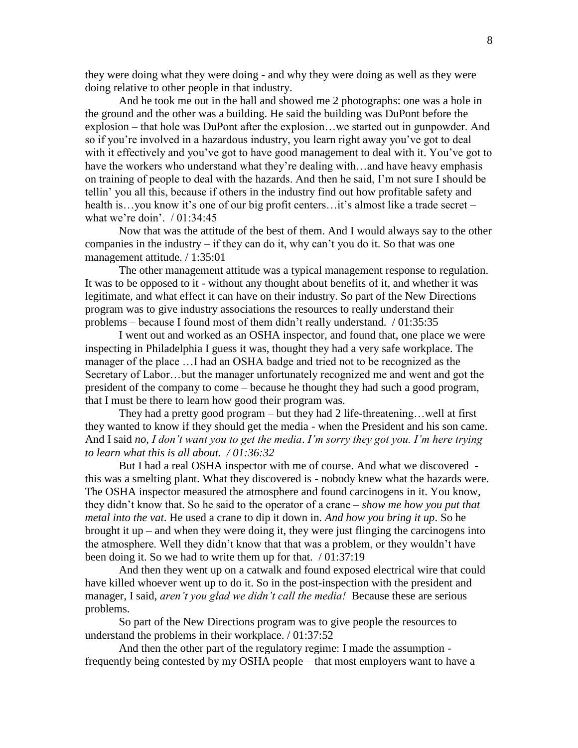they were doing what they were doing - and why they were doing as well as they were doing relative to other people in that industry.

And he took me out in the hall and showed me 2 photographs: one was a hole in the ground and the other was a building. He said the building was DuPont before the explosion – that hole was DuPont after the explosion…we started out in gunpowder. And so if you're involved in a hazardous industry, you learn right away you've got to deal with it effectively and you've got to have good management to deal with it. You've got to have the workers who understand what they're dealing with...and have heavy emphasis on training of people to deal with the hazards. And then he said, I'm not sure I should be tellin' you all this, because if others in the industry find out how profitable safety and health is...you know it's one of our big profit centers...it's almost like a trade secret – what we're doin'. / 01:34:45

Now that was the attitude of the best of them. And I would always say to the other companies in the industry – if they can do it, why can't you do it. So that was one management attitude. / 1:35:01

The other management attitude was a typical management response to regulation. It was to be opposed to it - without any thought about benefits of it, and whether it was legitimate, and what effect it can have on their industry. So part of the New Directions program was to give industry associations the resources to really understand their problems – because I found most of them didn't really understand. / 01:35:35

I went out and worked as an OSHA inspector, and found that, one place we were inspecting in Philadelphia I guess it was, thought they had a very safe workplace. The manager of the place …I had an OSHA badge and tried not to be recognized as the Secretary of Labor…but the manager unfortunately recognized me and went and got the president of the company to come – because he thought they had such a good program, that I must be there to learn how good their program was.

They had a pretty good program – but they had 2 life-threatening…well at first they wanted to know if they should get the media - when the President and his son came. And I said *no*, *I don't want you to get the media*. *I'm sorry they got you. I'm here trying to learn what this is all about. / 01:36:32*

But I had a real OSHA inspector with me of course. And what we discovered this was a smelting plant. What they discovered is - nobody knew what the hazards were. The OSHA inspector measured the atmosphere and found carcinogens in it. You know, they didn't know that. So he said to the operator of a crane – *show me how you put that metal into the vat*. He used a crane to dip it down in. *And how you bring it up*. So he brought it up – and when they were doing it, they were just flinging the carcinogens into the atmosphere. Well they didn't know that that was a problem, or they wouldn't have been doing it. So we had to write them up for that. / 01:37:19

And then they went up on a catwalk and found exposed electrical wire that could have killed whoever went up to do it. So in the post-inspection with the president and manager, I said, *aren't you glad we didn't call the media!* Because these are serious problems.

So part of the New Directions program was to give people the resources to understand the problems in their workplace. / 01:37:52

And then the other part of the regulatory regime: I made the assumption frequently being contested by my OSHA people – that most employers want to have a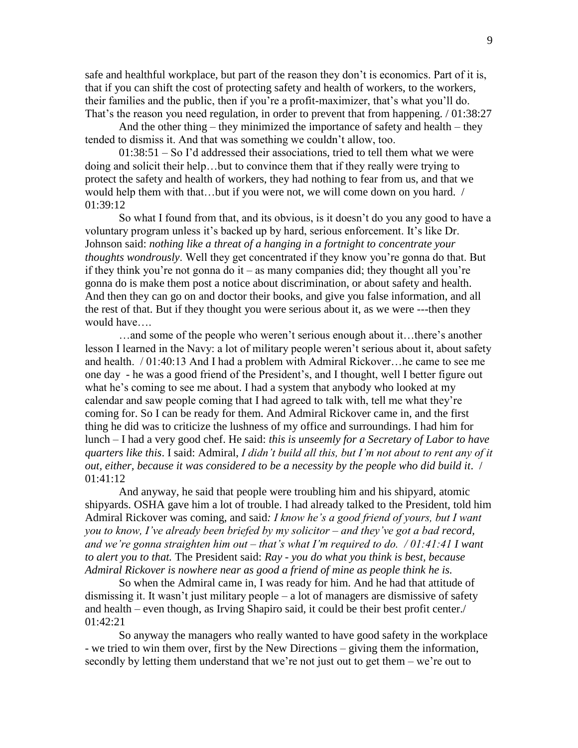safe and healthful workplace, but part of the reason they don't is economics. Part of it is, that if you can shift the cost of protecting safety and health of workers, to the workers, their families and the public, then if you're a profit-maximizer, that's what you'll do. That's the reason you need regulation, in order to prevent that from happening. / 01:38:27

And the other thing – they minimized the importance of safety and health – they tended to dismiss it. And that was something we couldn't allow, too.

01:38:51 – So I'd addressed their associations, tried to tell them what we were doing and solicit their help…but to convince them that if they really were trying to protect the safety and health of workers, they had nothing to fear from us, and that we would help them with that…but if you were not, we will come down on you hard. / 01:39:12

So what I found from that, and its obvious, is it doesn't do you any good to have a voluntary program unless it's backed up by hard, serious enforcement. It's like Dr. Johnson said: *nothing like a threat of a hanging in a fortnight to concentrate your thoughts wondrously*. Well they get concentrated if they know you're gonna do that. But if they think you're not gonna do it – as many companies did; they thought all you're gonna do is make them post a notice about discrimination, or about safety and health. And then they can go on and doctor their books, and give you false information, and all the rest of that. But if they thought you were serious about it, as we were ---then they would have….

…and some of the people who weren't serious enough about it…there's another lesson I learned in the Navy: a lot of military people weren't serious about it, about safety and health. / 01:40:13 And I had a problem with Admiral Rickover…he came to see me one day - he was a good friend of the President's, and I thought, well I better figure out what he's coming to see me about. I had a system that anybody who looked at my calendar and saw people coming that I had agreed to talk with, tell me what they're coming for. So I can be ready for them. And Admiral Rickover came in, and the first thing he did was to criticize the lushness of my office and surroundings. I had him for lunch – I had a very good chef. He said: *this is unseemly for a Secretary of Labor to have quarters like this*. I said: Admiral, *I didn't build all this, but I'm not about to rent any of it out, either, because it was considered to be a necessity by the people who did build it*. / 01:41:12

And anyway, he said that people were troubling him and his shipyard, atomic shipyards. OSHA gave him a lot of trouble. I had already talked to the President, told him Admiral Rickover was coming, and said*: I know he's a good friend of yours, but I want you to know, I've already been briefed by my solicitor – and they've got a bad record, and we're gonna straighten him out – that's what I'm required to do. / 01:41:41 I want to alert you to that.* The President said: *Ray - you do what you think is best, because Admiral Rickover is nowhere near as good a friend of mine as people think he is.*

So when the Admiral came in, I was ready for him. And he had that attitude of dismissing it. It wasn't just military people – a lot of managers are dismissive of safety and health – even though, as Irving Shapiro said, it could be their best profit center./ 01:42:21

So anyway the managers who really wanted to have good safety in the workplace - we tried to win them over, first by the New Directions – giving them the information, secondly by letting them understand that we're not just out to get them – we're out to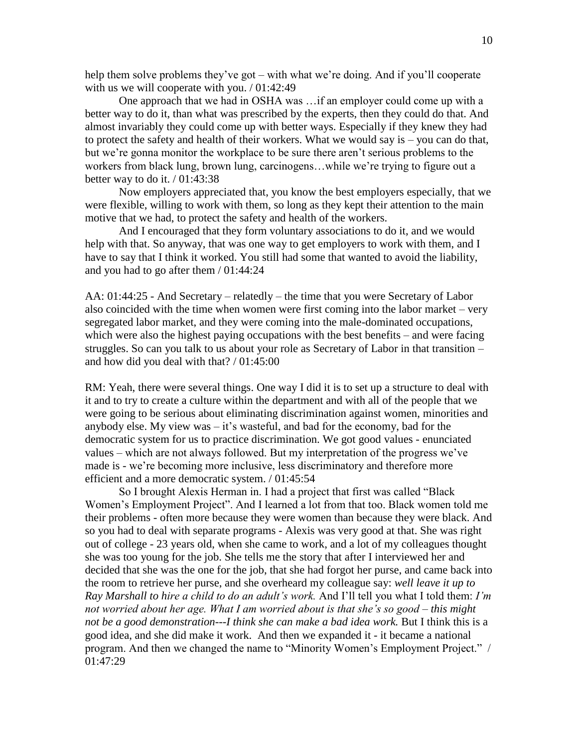help them solve problems they've got – with what we're doing. And if you'll cooperate with us we will cooperate with you. / 01:42:49

One approach that we had in OSHA was …if an employer could come up with a better way to do it, than what was prescribed by the experts, then they could do that. And almost invariably they could come up with better ways. Especially if they knew they had to protect the safety and health of their workers. What we would say is – you can do that, but we're gonna monitor the workplace to be sure there aren't serious problems to the workers from black lung, brown lung, carcinogens…while we're trying to figure out a better way to do it.  $/ 01:43:38$ 

Now employers appreciated that, you know the best employers especially, that we were flexible, willing to work with them, so long as they kept their attention to the main motive that we had, to protect the safety and health of the workers.

And I encouraged that they form voluntary associations to do it, and we would help with that. So anyway, that was one way to get employers to work with them, and I have to say that I think it worked. You still had some that wanted to avoid the liability, and you had to go after them / 01:44:24

AA: 01:44:25 - And Secretary – relatedly – the time that you were Secretary of Labor also coincided with the time when women were first coming into the labor market – very segregated labor market, and they were coming into the male-dominated occupations, which were also the highest paying occupations with the best benefits – and were facing struggles. So can you talk to us about your role as Secretary of Labor in that transition – and how did you deal with that? / 01:45:00

RM: Yeah, there were several things. One way I did it is to set up a structure to deal with it and to try to create a culture within the department and with all of the people that we were going to be serious about eliminating discrimination against women, minorities and anybody else. My view was – it's wasteful, and bad for the economy, bad for the democratic system for us to practice discrimination. We got good values - enunciated values – which are not always followed. But my interpretation of the progress we've made is - we're becoming more inclusive, less discriminatory and therefore more efficient and a more democratic system. / 01:45:54

So I brought Alexis Herman in. I had a project that first was called "Black Women's Employment Project". And I learned a lot from that too. Black women told me their problems - often more because they were women than because they were black. And so you had to deal with separate programs - Alexis was very good at that. She was right out of college - 23 years old, when she came to work, and a lot of my colleagues thought she was too young for the job. She tells me the story that after I interviewed her and decided that she was the one for the job, that she had forgot her purse, and came back into the room to retrieve her purse, and she overheard my colleague say: *well leave it up to Ray Marshall to hire a child to do an adult's work.* And I'll tell you what I told them: *I'm not worried about her age. What I am worried about is that she's so good – this might not be a good demonstration---I think she can make a bad idea work.* But I think this is a good idea, and she did make it work. And then we expanded it - it became a national program. And then we changed the name to "Minority Women's Employment Project." / 01:47:29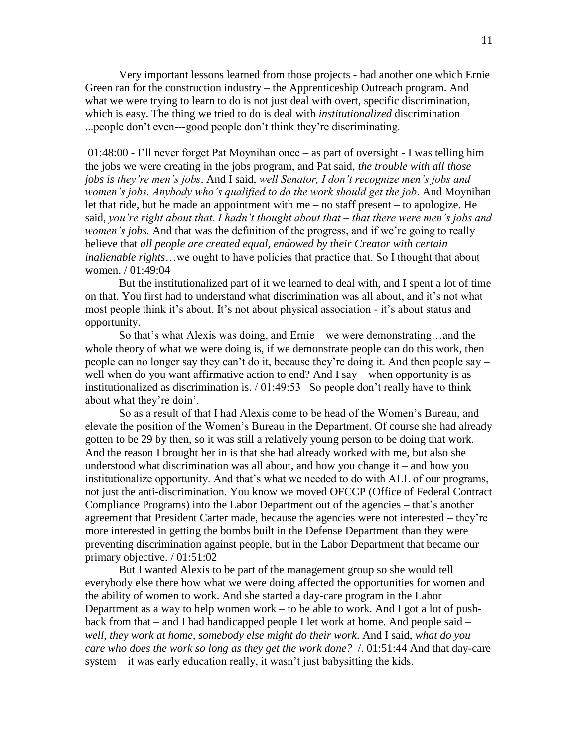Very important lessons learned from those projects - had another one which Ernie Green ran for the construction industry – the Apprenticeship Outreach program. And what we were trying to learn to do is not just deal with overt, specific discrimination, which is easy. The thing we tried to do is deal with *institutionalized* discrimination ...people don't even---good people don't think they're discriminating.

01:48:00 - I'll never forget Pat Moynihan once – as part of oversight - I was telling him the jobs we were creating in the jobs program, and Pat said, *the trouble with all those jobs is they're men's jobs*. And I said, *well Senator, I don't recognize men's jobs and women's jobs. Anybody who's qualified to do the work should get the job*. And Moynihan let that ride, but he made an appointment with me – no staff present – to apologize. He said, *you're right about that. I hadn't thought about that – that there were men's jobs and women's jobs.* And that was the definition of the progress, and if we're going to really believe that *all people are created equal, endowed by their Creator with certain inalienable rights*…we ought to have policies that practice that. So I thought that about women. / 01:49:04

But the institutionalized part of it we learned to deal with, and I spent a lot of time on that. You first had to understand what discrimination was all about, and it's not what most people think it's about. It's not about physical association - it's about status and opportunity.

So that's what Alexis was doing, and Ernie – we were demonstrating…and the whole theory of what we were doing is, if we demonstrate people can do this work, then people can no longer say they can't do it, because they're doing it. And then people say – well when do you want affirmative action to end? And I say – when opportunity is as institutionalized as discrimination is. / 01:49:53 So people don't really have to think about what they're doin'.

So as a result of that I had Alexis come to be head of the Women's Bureau, and elevate the position of the Women's Bureau in the Department. Of course she had already gotten to be 29 by then, so it was still a relatively young person to be doing that work. And the reason I brought her in is that she had already worked with me, but also she understood what discrimination was all about, and how you change it – and how you institutionalize opportunity. And that's what we needed to do with ALL of our programs, not just the anti-discrimination. You know we moved OFCCP (Office of Federal Contract Compliance Programs) into the Labor Department out of the agencies – that's another agreement that President Carter made, because the agencies were not interested – they're more interested in getting the bombs built in the Defense Department than they were preventing discrimination against people, but in the Labor Department that became our primary objective. / 01:51:02

But I wanted Alexis to be part of the management group so she would tell everybody else there how what we were doing affected the opportunities for women and the ability of women to work. And she started a day-care program in the Labor Department as a way to help women work – to be able to work. And I got a lot of pushback from that – and I had handicapped people I let work at home. And people said – *well, they work at home, somebody else might do their work*. And I said, *what do you care who does the work so long as they get the work done?* /. 01:51:44 And that day-care system – it was early education really, it wasn't just babysitting the kids.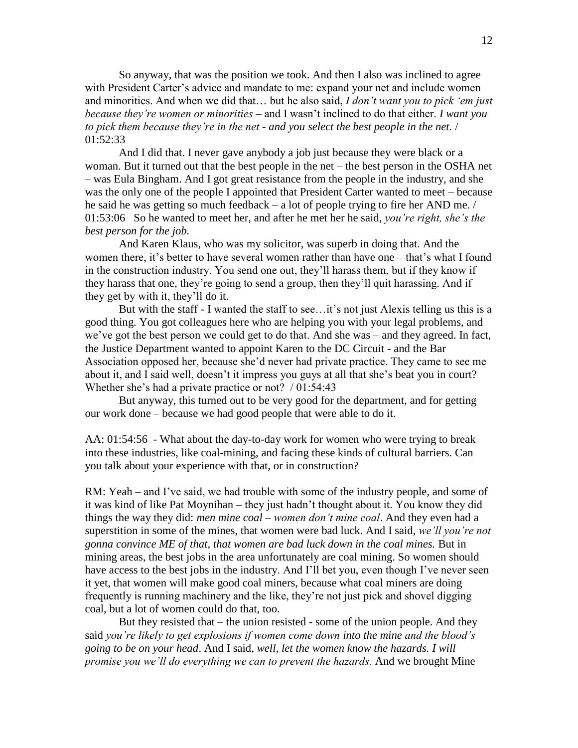So anyway, that was the position we took. And then I also was inclined to agree with President Carter's advice and mandate to me: expand your net and include women and minorities. And when we did that… but he also said, *I don't want you to pick 'em just because they're women or minorities* – and I wasn't inclined to do that either. *I want you to pick them because they're in the net - and you select the best people in the net.* / 01:52:33

And I did that. I never gave anybody a job just because they were black or a woman. But it turned out that the best people in the net – the best person in the OSHA net – was Eula Bingham. And I got great resistance from the people in the industry, and she was the only one of the people I appointed that President Carter wanted to meet – because he said he was getting so much feedback – a lot of people trying to fire her AND me. / 01:53:06 So he wanted to meet her, and after he met her he said, *you're right, she's the best person for the job.*

And Karen Klaus, who was my solicitor, was superb in doing that. And the women there, it's better to have several women rather than have one – that's what I found in the construction industry. You send one out, they'll harass them, but if they know if they harass that one, they're going to send a group, then they'll quit harassing. And if they get by with it, they'll do it.

But with the staff - I wanted the staff to see…it's not just Alexis telling us this is a good thing. You got colleagues here who are helping you with your legal problems, and we've got the best person we could get to do that. And she was – and they agreed. In fact, the Justice Department wanted to appoint Karen to the DC Circuit - and the Bar Association opposed her, because she'd never had private practice. They came to see me about it, and I said well, doesn't it impress you guys at all that she's beat you in court? Whether she's had a private practice or not? / 01:54:43

But anyway, this turned out to be very good for the department, and for getting our work done – because we had good people that were able to do it.

AA: 01:54:56 - What about the day-to-day work for women who were trying to break into these industries, like coal-mining, and facing these kinds of cultural barriers. Can you talk about your experience with that, or in construction?

RM: Yeah – and I've said, we had trouble with some of the industry people, and some of it was kind of like Pat Moynihan – they just hadn't thought about it. You know they did things the way they did: *men mine coal – women don't mine coal*. And they even had a superstition in some of the mines, that women were bad luck. And I said, *we'll you're not gonna convince ME of that, that women are bad luck down in the coal mines.* But in mining areas, the best jobs in the area unfortunately are coal mining. So women should have access to the best jobs in the industry. And I'll bet you, even though I've never seen it yet, that women will make good coal miners, because what coal miners are doing frequently is running machinery and the like, they're not just pick and shovel digging coal, but a lot of women could do that, too.

But they resisted that – the union resisted - some of the union people. And they said *you're likely to get explosions if women come down into the mine and the blood's going to be on your head*. And I said, *well, let the women know the hazards. I will promise you we'll do everything we can to prevent the hazards.* And we brought Mine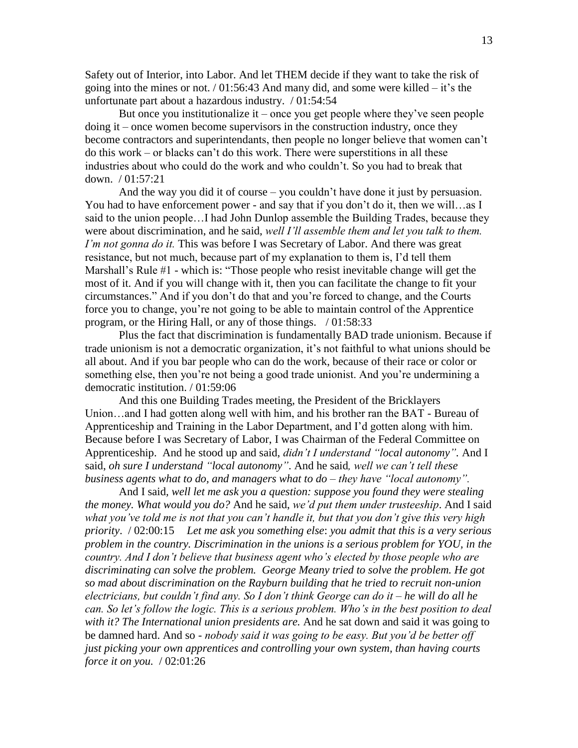Safety out of Interior, into Labor. And let THEM decide if they want to take the risk of going into the mines or not.  $/ 01:56:43$  And many did, and some were killed – it's the unfortunate part about a hazardous industry. / 01:54:54

But once you institutionalize it – once you get people where they've seen people doing it – once women become supervisors in the construction industry, once they become contractors and superintendants, then people no longer believe that women can't do this work – or blacks can't do this work. There were superstitions in all these industries about who could do the work and who couldn't. So you had to break that down. / 01:57:21

And the way you did it of course – you couldn't have done it just by persuasion. You had to have enforcement power - and say that if you don't do it, then we will...as I said to the union people…I had John Dunlop assemble the Building Trades, because they were about discrimination, and he said, *well I'll assemble them and let you talk to them. I'm not gonna do it.* This was before I was Secretary of Labor. And there was great resistance, but not much, because part of my explanation to them is, I'd tell them Marshall's Rule #1 - which is: "Those people who resist inevitable change will get the most of it. And if you will change with it, then you can facilitate the change to fit your circumstances." And if you don't do that and you're forced to change, and the Courts force you to change, you're not going to be able to maintain control of the Apprentice program, or the Hiring Hall, or any of those things. / 01:58:33

Plus the fact that discrimination is fundamentally BAD trade unionism. Because if trade unionism is not a democratic organization, it's not faithful to what unions should be all about. And if you bar people who can do the work, because of their race or color or something else, then you're not being a good trade unionist. And you're undermining a democratic institution. / 01:59:06

And this one Building Trades meeting, the President of the Bricklayers Union…and I had gotten along well with him, and his brother ran the BAT - Bureau of Apprenticeship and Training in the Labor Department, and I'd gotten along with him. Because before I was Secretary of Labor, I was Chairman of the Federal Committee on Apprenticeship. And he stood up and said, *didn't I understand "local autonomy".* And I said, *oh sure I understand "local autonomy"*. And he said*, well we can't tell these business agents what to do, and managers what to do – they have "local autonomy".*

And I said*, well let me ask you a question: suppose you found they were stealing the money. What would you do?* And he said, *we'd put them under trusteeship*. And I said *what you've told me is not that you can't handle it, but that you don't give this very high priority*. / 02:00:15 *Let me ask you something else*: *you admit that this is a very serious problem in the country. Discrimination in the unions is a serious problem for YOU, in the country. And I don't believe that business agent who's elected by those people who are discriminating can solve the problem. George Meany tried to solve the problem. He got so mad about discrimination on the Rayburn building that he tried to recruit non-union electricians, but couldn't find any. So I don't think George can do it – he will do all he can. So let's follow the logic. This is a serious problem. Who's in the best position to deal with it? The International union presidents are.* And he sat down and said it was going to be damned hard. And so - *nobody said it was going to be easy. But you'd be better off just picking your own apprentices and controlling your own system, than having courts force it on you.* / 02:01:26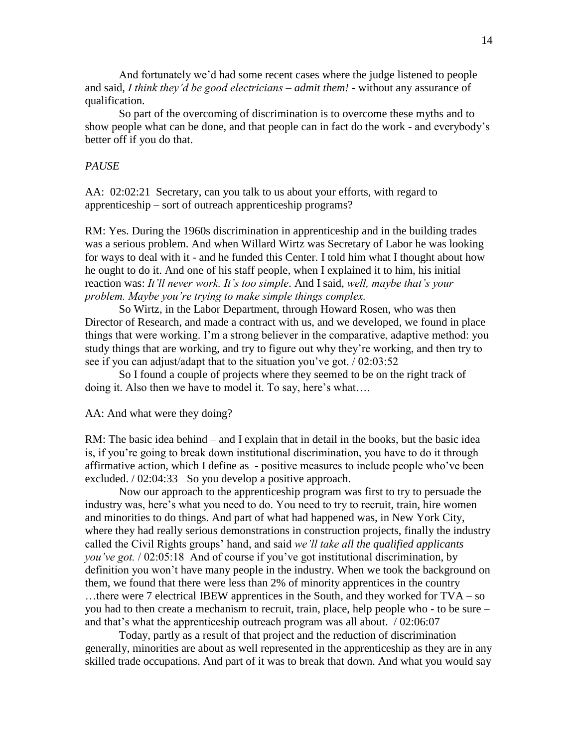And fortunately we'd had some recent cases where the judge listened to people and said, *I think they'd be good electricians – admit them!* - without any assurance of qualification.

So part of the overcoming of discrimination is to overcome these myths and to show people what can be done, and that people can in fact do the work - and everybody's better off if you do that.

## *PAUSE*

AA: 02:02:21 Secretary, can you talk to us about your efforts, with regard to apprenticeship – sort of outreach apprenticeship programs?

RM: Yes. During the 1960s discrimination in apprenticeship and in the building trades was a serious problem. And when Willard Wirtz was Secretary of Labor he was looking for ways to deal with it - and he funded this Center. I told him what I thought about how he ought to do it. And one of his staff people, when I explained it to him, his initial reaction was: *It'll never work. It's too simple*. And I said, *well, maybe that's your problem. Maybe you're trying to make simple things complex.* 

So Wirtz, in the Labor Department, through Howard Rosen, who was then Director of Research, and made a contract with us, and we developed, we found in place things that were working. I'm a strong believer in the comparative, adaptive method: you study things that are working, and try to figure out why they're working, and then try to see if you can adjust/adapt that to the situation you've got. / 02:03:52

So I found a couple of projects where they seemed to be on the right track of doing it. Also then we have to model it. To say, here's what….

AA: And what were they doing?

RM: The basic idea behind – and I explain that in detail in the books, but the basic idea is, if you're going to break down institutional discrimination, you have to do it through affirmative action, which I define as - positive measures to include people who've been excluded. / 02:04:33 So you develop a positive approach.

Now our approach to the apprenticeship program was first to try to persuade the industry was, here's what you need to do. You need to try to recruit, train, hire women and minorities to do things. And part of what had happened was, in New York City, where they had really serious demonstrations in construction projects, finally the industry called the Civil Rights groups' hand, and said *we'll take all the qualified applicants you've got.* / 02:05:18 And of course if you've got institutional discrimination, by definition you won't have many people in the industry. When we took the background on them, we found that there were less than 2% of minority apprentices in the country …there were 7 electrical IBEW apprentices in the South, and they worked for TVA – so you had to then create a mechanism to recruit, train, place, help people who - to be sure – and that's what the apprenticeship outreach program was all about. / 02:06:07

Today, partly as a result of that project and the reduction of discrimination generally, minorities are about as well represented in the apprenticeship as they are in any skilled trade occupations. And part of it was to break that down. And what you would say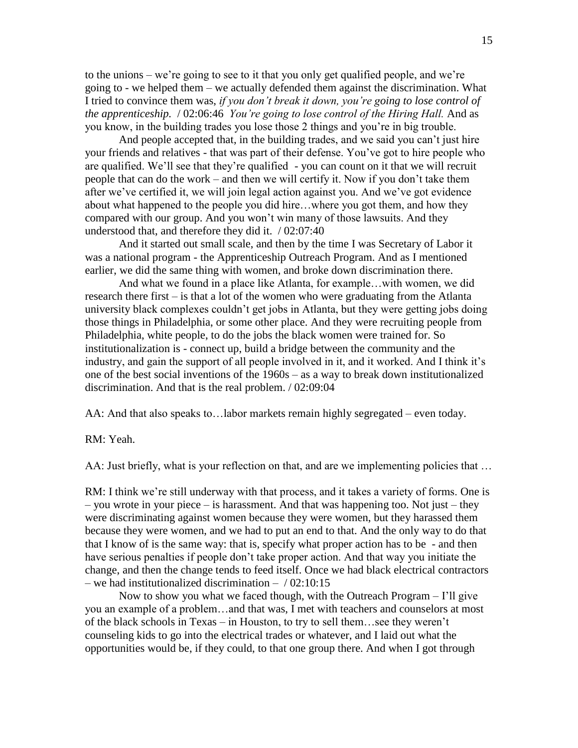to the unions – we're going to see to it that you only get qualified people, and we're going to - we helped them – we actually defended them against the discrimination. What I tried to convince them was, *if you don't break it down, you're going to lose control of the apprenticeship.* / 02:06:46 *You're going to lose control of the Hiring Hall.* And as you know, in the building trades you lose those 2 things and you're in big trouble.

And people accepted that, in the building trades, and we said you can't just hire your friends and relatives - that was part of their defense. You've got to hire people who are qualified. We'll see that they're qualified - you can count on it that we will recruit people that can do the work – and then we will certify it. Now if you don't take them after we've certified it, we will join legal action against you. And we've got evidence about what happened to the people you did hire…where you got them, and how they compared with our group. And you won't win many of those lawsuits. And they understood that, and therefore they did it. / 02:07:40

And it started out small scale, and then by the time I was Secretary of Labor it was a national program - the Apprenticeship Outreach Program. And as I mentioned earlier, we did the same thing with women, and broke down discrimination there.

And what we found in a place like Atlanta, for example…with women, we did research there first – is that a lot of the women who were graduating from the Atlanta university black complexes couldn't get jobs in Atlanta, but they were getting jobs doing those things in Philadelphia, or some other place. And they were recruiting people from Philadelphia, white people, to do the jobs the black women were trained for. So institutionalization is - connect up, build a bridge between the community and the industry, and gain the support of all people involved in it, and it worked. And I think it's one of the best social inventions of the 1960s – as a way to break down institutionalized discrimination. And that is the real problem. / 02:09:04

AA: And that also speaks to…labor markets remain highly segregated – even today.

RM: Yeah.

AA: Just briefly, what is your reflection on that, and are we implementing policies that …

RM: I think we're still underway with that process, and it takes a variety of forms. One is – you wrote in your piece – is harassment. And that was happening too. Not just – they were discriminating against women because they were women, but they harassed them because they were women, and we had to put an end to that. And the only way to do that that I know of is the same way: that is, specify what proper action has to be - and then have serious penalties if people don't take proper action. And that way you initiate the change, and then the change tends to feed itself. Once we had black electrical contractors – we had institutionalized discrimination –  $/02:10:15$ 

Now to show you what we faced though, with the Outreach Program – I'll give you an example of a problem…and that was, I met with teachers and counselors at most of the black schools in Texas – in Houston, to try to sell them…see they weren't counseling kids to go into the electrical trades or whatever, and I laid out what the opportunities would be, if they could, to that one group there. And when I got through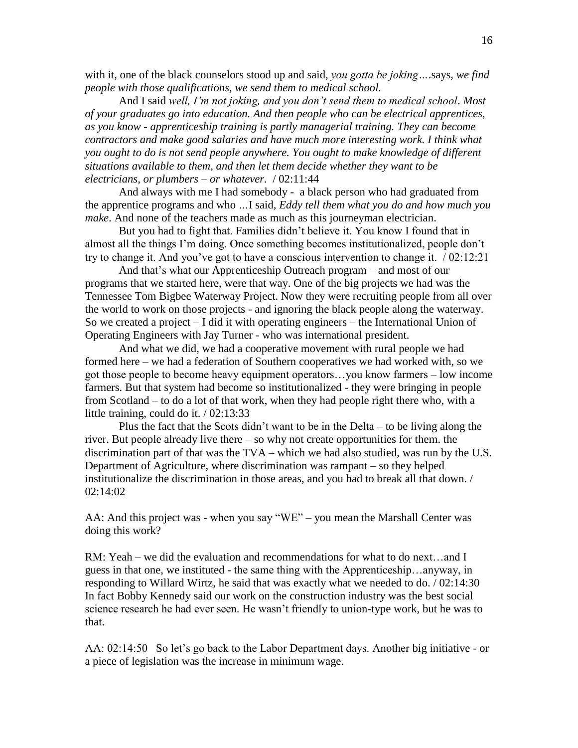with it, one of the black counselors stood up and said, *you gotta be joking…*.says, *we find people with those qualifications, we send them to medical school.* 

And I said *well, I'm not joking, and you don't send them to medical school*. *Most of your graduates go into education. And then people who can be electrical apprentices, as you know - apprenticeship training is partly managerial training. They can become contractors and make good salaries and have much more interesting work. I think what you ought to do is not send people anywhere. You ought to make knowledge of different situations available to them, and then let them decide whether they want to be electricians, or plumbers – or whatever.* / 02:11:44

And always with me I had somebody - a black person who had graduated from the apprentice programs and who *…*I said*, Eddy tell them what you do and how much you make*. And none of the teachers made as much as this journeyman electrician.

But you had to fight that. Families didn't believe it. You know I found that in almost all the things I'm doing. Once something becomes institutionalized, people don't try to change it. And you've got to have a conscious intervention to change it. / 02:12:21

And that's what our Apprenticeship Outreach program – and most of our programs that we started here, were that way. One of the big projects we had was the Tennessee Tom Bigbee Waterway Project. Now they were recruiting people from all over the world to work on those projects - and ignoring the black people along the waterway. So we created a project – I did it with operating engineers – the International Union of Operating Engineers with Jay Turner - who was international president.

And what we did, we had a cooperative movement with rural people we had formed here – we had a federation of Southern cooperatives we had worked with, so we got those people to become heavy equipment operators…you know farmers – low income farmers. But that system had become so institutionalized - they were bringing in people from Scotland – to do a lot of that work, when they had people right there who, with a little training, could do it. / 02:13:33

Plus the fact that the Scots didn't want to be in the Delta – to be living along the river. But people already live there – so why not create opportunities for them. the discrimination part of that was the TVA – which we had also studied, was run by the U.S. Department of Agriculture, where discrimination was rampant – so they helped institutionalize the discrimination in those areas, and you had to break all that down. / 02:14:02

AA: And this project was - when you say "WE" – you mean the Marshall Center was doing this work?

RM: Yeah – we did the evaluation and recommendations for what to do next...and I guess in that one, we instituted - the same thing with the Apprenticeship…anyway, in responding to Willard Wirtz, he said that was exactly what we needed to do. / 02:14:30 In fact Bobby Kennedy said our work on the construction industry was the best social science research he had ever seen. He wasn't friendly to union-type work, but he was to that.

AA: 02:14:50 So let's go back to the Labor Department days. Another big initiative - or a piece of legislation was the increase in minimum wage.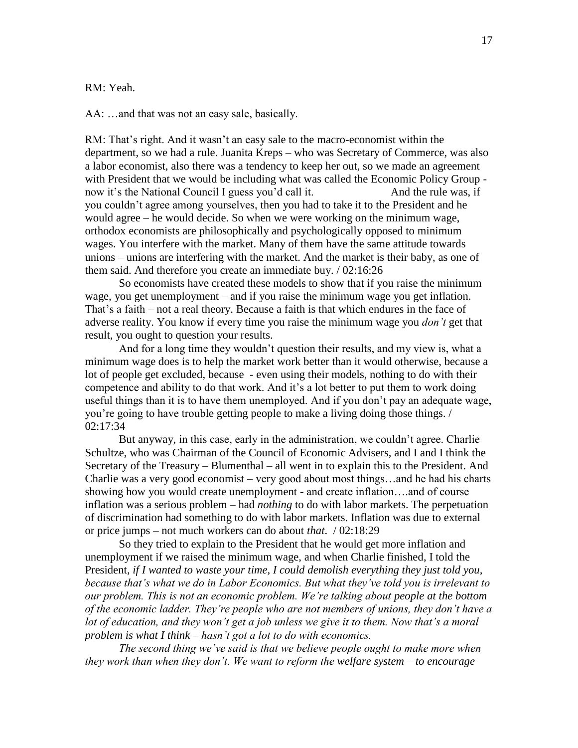#### RM: Yeah.

AA: …and that was not an easy sale, basically.

RM: That's right. And it wasn't an easy sale to the macro-economist within the department, so we had a rule. Juanita Kreps – who was Secretary of Commerce, was also a labor economist, also there was a tendency to keep her out, so we made an agreement with President that we would be including what was called the Economic Policy Group now it's the National Council I guess you'd call it. And the rule was, if you couldn't agree among yourselves, then you had to take it to the President and he would agree – he would decide. So when we were working on the minimum wage, orthodox economists are philosophically and psychologically opposed to minimum wages. You interfere with the market. Many of them have the same attitude towards unions – unions are interfering with the market. And the market is their baby, as one of them said. And therefore you create an immediate buy. / 02:16:26

So economists have created these models to show that if you raise the minimum wage, you get unemployment – and if you raise the minimum wage you get inflation. That's a faith – not a real theory. Because a faith is that which endures in the face of adverse reality. You know if every time you raise the minimum wage you *don't* get that result, you ought to question your results.

And for a long time they wouldn't question their results, and my view is, what a minimum wage does is to help the market work better than it would otherwise, because a lot of people get excluded, because - even using their models, nothing to do with their competence and ability to do that work. And it's a lot better to put them to work doing useful things than it is to have them unemployed. And if you don't pay an adequate wage, you're going to have trouble getting people to make a living doing those things. / 02:17:34

But anyway, in this case, early in the administration, we couldn't agree. Charlie Schultze, who was Chairman of the Council of Economic Advisers, and I and I think the Secretary of the Treasury – Blumenthal – all went in to explain this to the President. And Charlie was a very good economist – very good about most things…and he had his charts showing how you would create unemployment - and create inflation….and of course inflation was a serious problem – had *nothing* to do with labor markets. The perpetuation of discrimination had something to do with labor markets. Inflation was due to external or price jumps – not much workers can do about *that*. / 02:18:29

So they tried to explain to the President that he would get more inflation and unemployment if we raised the minimum wage, and when Charlie finished, I told the President*, if I wanted to waste your time, I could demolish everything they just told you, because that's what we do in Labor Economics. But what they've told you is irrelevant to our problem. This is not an economic problem. We're talking about people at the bottom of the economic ladder. They're people who are not members of unions, they don't have a lot of education, and they won't get a job unless we give it to them. Now that's a moral problem is what I think – hasn't got a lot to do with economics.* 

*The second thing we've said is that we believe people ought to make more when they work than when they don't. We want to reform the welfare system – to encourage*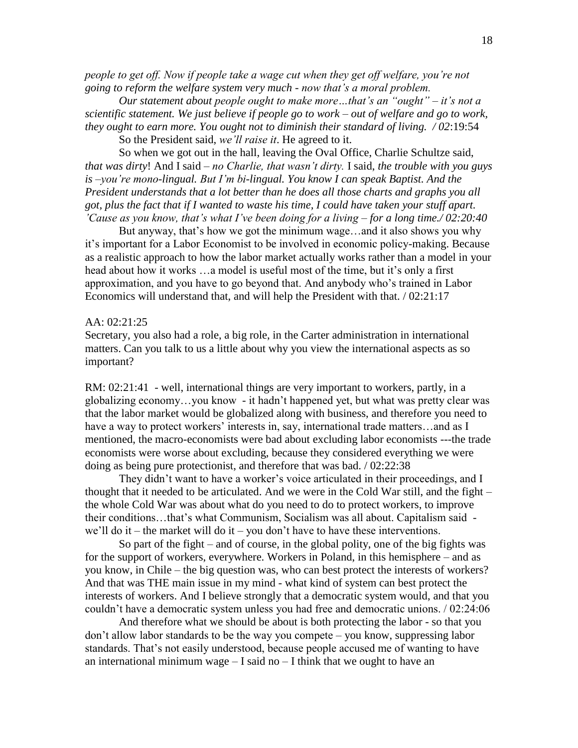*people to get off. Now if people take a wage cut when they get off welfare, you're not going to reform the welfare system very much - now that's a moral problem.*

*Our statement about people ought to make more…that's an "ought" – it's not a scientific statement. We just believe if people go to work – out of welfare and go to work, they ought to earn more. You ought not to diminish their standard of living. / 02*:19:54

So the President said, *we'll raise it*. He agreed to it.

So when we got out in the hall, leaving the Oval Office, Charlie Schultze said, *that was dirty*! And I said – *no Charlie, that wasn't dirty.* I said, *the trouble with you guys is –you're mono-lingual. But I'm bi-lingual. You know I can speak Baptist. And the President understands that a lot better than he does all those charts and graphs you all got, plus the fact that if I wanted to waste his time, I could have taken your stuff apart. 'Cause as you know, that's what I've been doing for a living – for a long time./ 02:20:40*

But anyway, that's how we got the minimum wage…and it also shows you why it's important for a Labor Economist to be involved in economic policy-making. Because as a realistic approach to how the labor market actually works rather than a model in your head about how it works …a model is useful most of the time, but it's only a first approximation, and you have to go beyond that. And anybody who's trained in Labor Economics will understand that, and will help the President with that. / 02:21:17

#### AA: 02:21:25

Secretary, you also had a role, a big role, in the Carter administration in international matters. Can you talk to us a little about why you view the international aspects as so important?

RM: 02:21:41 - well, international things are very important to workers, partly, in a globalizing economy…you know - it hadn't happened yet, but what was pretty clear was that the labor market would be globalized along with business, and therefore you need to have a way to protect workers' interests in, say, international trade matters...and as I mentioned, the macro-economists were bad about excluding labor economists ---the trade economists were worse about excluding, because they considered everything we were doing as being pure protectionist, and therefore that was bad. / 02:22:38

They didn't want to have a worker's voice articulated in their proceedings, and I thought that it needed to be articulated. And we were in the Cold War still, and the fight – the whole Cold War was about what do you need to do to protect workers, to improve their conditions…that's what Communism, Socialism was all about. Capitalism said we'll do it – the market will do it – you don't have to have these interventions.

So part of the fight – and of course, in the global polity, one of the big fights was for the support of workers, everywhere. Workers in Poland, in this hemisphere – and as you know, in Chile – the big question was, who can best protect the interests of workers? And that was THE main issue in my mind - what kind of system can best protect the interests of workers. And I believe strongly that a democratic system would, and that you couldn't have a democratic system unless you had free and democratic unions. / 02:24:06

And therefore what we should be about is both protecting the labor - so that you don't allow labor standards to be the way you compete – you know, suppressing labor standards. That's not easily understood, because people accused me of wanting to have an international minimum wage  $- I$  said no  $- I$  think that we ought to have an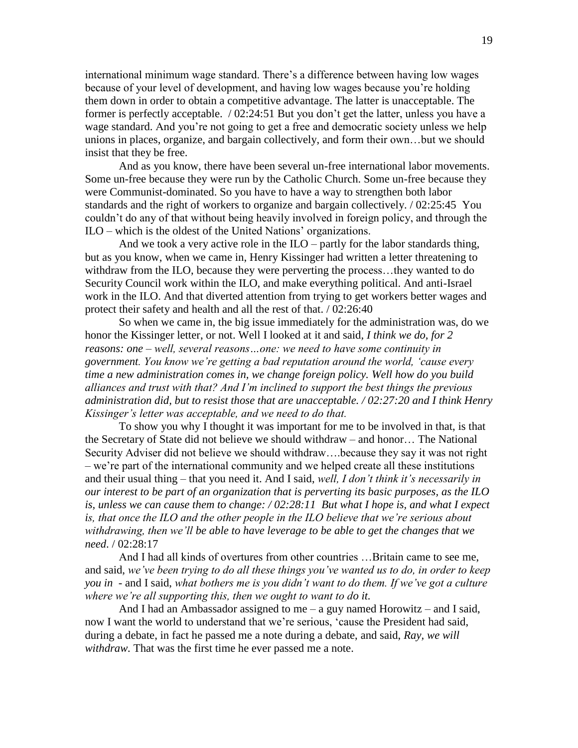international minimum wage standard. There's a difference between having low wages because of your level of development, and having low wages because you're holding them down in order to obtain a competitive advantage. The latter is unacceptable. The former is perfectly acceptable. / 02:24:51 But you don't get the latter, unless you have a wage standard. And you're not going to get a free and democratic society unless we help unions in places, organize, and bargain collectively, and form their own…but we should insist that they be free.

And as you know, there have been several un-free international labor movements. Some un-free because they were run by the Catholic Church. Some un-free because they were Communist-dominated. So you have to have a way to strengthen both labor standards and the right of workers to organize and bargain collectively. / 02:25:45 You couldn't do any of that without being heavily involved in foreign policy, and through the ILO – which is the oldest of the United Nations' organizations.

And we took a very active role in the ILO – partly for the labor standards thing, but as you know, when we came in, Henry Kissinger had written a letter threatening to withdraw from the ILO, because they were perverting the process…they wanted to do Security Council work within the ILO, and make everything political. And anti-Israel work in the ILO. And that diverted attention from trying to get workers better wages and protect their safety and health and all the rest of that. / 02:26:40

So when we came in, the big issue immediately for the administration was, do we honor the Kissinger letter, or not. Well I looked at it and said*, I think we do, for 2 reasons: one – well, several reasons…one: we need to have some continuity in government. You know we're getting a bad reputation around the world, 'cause every time a new administration comes in, we change foreign policy. Well how do you build alliances and trust with that? And I'm inclined to support the best things the previous administration did, but to resist those that are unacceptable. / 02:27:20 and I think Henry Kissinger's letter was acceptable, and we need to do that.*

To show you why I thought it was important for me to be involved in that, is that the Secretary of State did not believe we should withdraw – and honor… The National Security Adviser did not believe we should withdraw….because they say it was not right – we're part of the international community and we helped create all these institutions and their usual thing – that you need it. And I said, *well, I don't think it's necessarily in our interest to be part of an organization that is perverting its basic purposes, as the ILO is, unless we can cause them to change: / 02:28:11 But what I hope is, and what I expect is, that once the ILO and the other people in the ILO believe that we're serious about withdrawing, then we'll be able to have leverage to be able to get the changes that we need*. / 02:28:17

And I had all kinds of overtures from other countries …Britain came to see me, and said, *we've been trying to do all these things you've wanted us to do, in order to keep you in* - and I said, *what bothers me is you didn't want to do them. If we've got a culture where we're all supporting this, then we ought to want to do it.*

And I had an Ambassador assigned to me  $-$  a guy named Horowitz  $-$  and I said, now I want the world to understand that we're serious, 'cause the President had said, during a debate, in fact he passed me a note during a debate, and said, *Ray, we will withdraw.* That was the first time he ever passed me a note.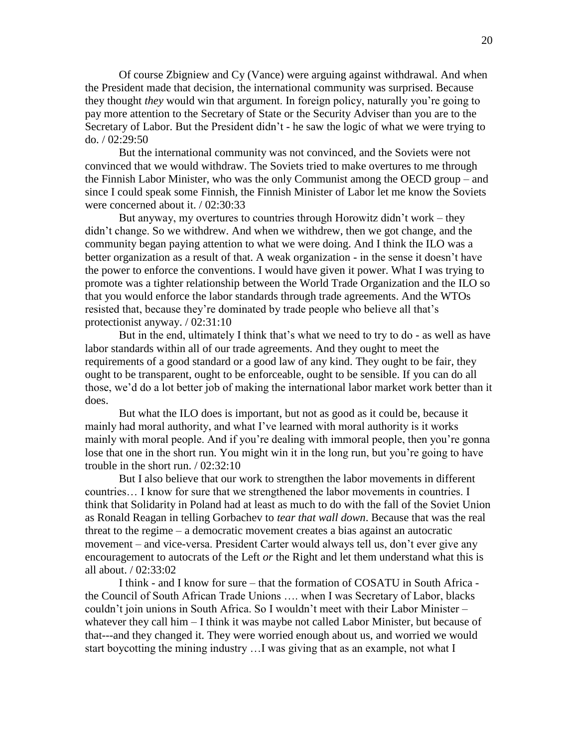Of course Zbigniew and Cy (Vance) were arguing against withdrawal. And when the President made that decision, the international community was surprised. Because they thought *they* would win that argument. In foreign policy, naturally you're going to pay more attention to the Secretary of State or the Security Adviser than you are to the Secretary of Labor. But the President didn't - he saw the logic of what we were trying to do. / 02:29:50

But the international community was not convinced, and the Soviets were not convinced that we would withdraw. The Soviets tried to make overtures to me through the Finnish Labor Minister, who was the only Communist among the OECD group – and since I could speak some Finnish, the Finnish Minister of Labor let me know the Soviets were concerned about it. / 02:30:33

But anyway, my overtures to countries through Horowitz didn't work – they didn't change. So we withdrew. And when we withdrew, then we got change, and the community began paying attention to what we were doing. And I think the ILO was a better organization as a result of that. A weak organization - in the sense it doesn't have the power to enforce the conventions. I would have given it power. What I was trying to promote was a tighter relationship between the World Trade Organization and the ILO so that you would enforce the labor standards through trade agreements. And the WTOs resisted that, because they're dominated by trade people who believe all that's protectionist anyway. / 02:31:10

But in the end, ultimately I think that's what we need to try to do - as well as have labor standards within all of our trade agreements. And they ought to meet the requirements of a good standard or a good law of any kind. They ought to be fair, they ought to be transparent, ought to be enforceable, ought to be sensible. If you can do all those, we'd do a lot better job of making the international labor market work better than it does.

But what the ILO does is important, but not as good as it could be, because it mainly had moral authority, and what I've learned with moral authority is it works mainly with moral people. And if you're dealing with immoral people, then you're gonna lose that one in the short run. You might win it in the long run, but you're going to have trouble in the short run. / 02:32:10

But I also believe that our work to strengthen the labor movements in different countries… I know for sure that we strengthened the labor movements in countries. I think that Solidarity in Poland had at least as much to do with the fall of the Soviet Union as Ronald Reagan in telling Gorbachev to *tear that wall down*. Because that was the real threat to the regime – a democratic movement creates a bias against an autocratic movement – and vice-versa. President Carter would always tell us, don't ever give any encouragement to autocrats of the Left *or* the Right and let them understand what this is all about. / 02:33:02

I think - and I know for sure – that the formation of COSATU in South Africa the Council of South African Trade Unions …. when I was Secretary of Labor, blacks couldn't join unions in South Africa. So I wouldn't meet with their Labor Minister – whatever they call him – I think it was maybe not called Labor Minister, but because of that---and they changed it. They were worried enough about us, and worried we would start boycotting the mining industry …I was giving that as an example, not what I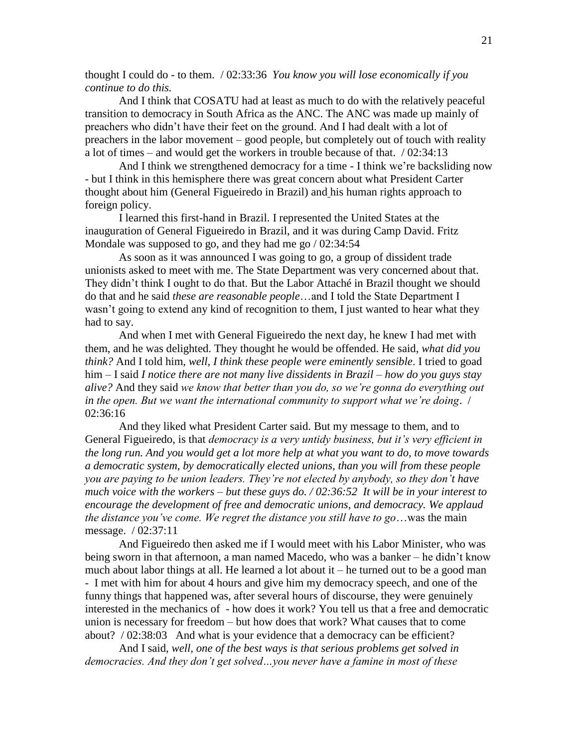thought I could do - to them. / 02:33:36 *You know you will lose economically if you continue to do this.*

And I think that COSATU had at least as much to do with the relatively peaceful transition to democracy in South Africa as the ANC. The ANC was made up mainly of preachers who didn't have their feet on the ground. And I had dealt with a lot of preachers in the labor movement – good people, but completely out of touch with reality a lot of times – and would get the workers in trouble because of that. / 02:34:13

And I think we strengthened democracy for a time - I think we're backsliding now - but I think in this hemisphere there was great concern about what President Carter thought about him (General Figueiredo in Brazil) and his human rights approach to foreign policy.

I learned this first-hand in Brazil. I represented the United States at the inauguration of General Figueiredo in Brazil, and it was during Camp David. Fritz Mondale was supposed to go, and they had me go / 02:34:54

As soon as it was announced I was going to go, a group of dissident trade unionists asked to meet with me. The State Department was very concerned about that. They didn't think I ought to do that. But the Labor Attaché in Brazil thought we should do that and he said *these are reasonable people*…and I told the State Department I wasn't going to extend any kind of recognition to them, I just wanted to hear what they had to say.

And when I met with General Figueiredo the next day, he knew I had met with them, and he was delighted. They thought he would be offended. He said, *what did you think?* And I told him, *well, I think these people were eminently sensible*. I tried to goad him – I said *I notice there are not many live dissidents in Brazil – how do you guys stay alive?* And they said *we know that better than you do, so we're gonna do everything out in the open. But we want the international community to support what we're doing*. / 02:36:16

And they liked what President Carter said. But my message to them, and to General Figueiredo, is that *democracy is a very untidy business, but it's very efficient in the long run. And you would get a lot more help at what you want to do, to move towards a democratic system, by democratically elected unions, than you will from these people you are paying to be union leaders. They're not elected by anybody, so they don't have much voice with the workers – but these guys do. / 02:36:52 It will be in your interest to encourage the development of free and democratic unions, and democracy. We applaud the distance you've come. We regret the distance you still have to go*…was the main message. / 02:37:11

And Figueiredo then asked me if I would meet with his Labor Minister, who was being sworn in that afternoon, a man named Macedo, who was a banker – he didn't know much about labor things at all. He learned a lot about it – he turned out to be a good man - I met with him for about 4 hours and give him my democracy speech, and one of the funny things that happened was, after several hours of discourse, they were genuinely interested in the mechanics of - how does it work? You tell us that a free and democratic union is necessary for freedom – but how does that work? What causes that to come about? / 02:38:03 And what is your evidence that a democracy can be efficient?

And I said, *well, one of the best ways is that serious problems get solved in democracies. And they don't get solved…you never have a famine in most of these*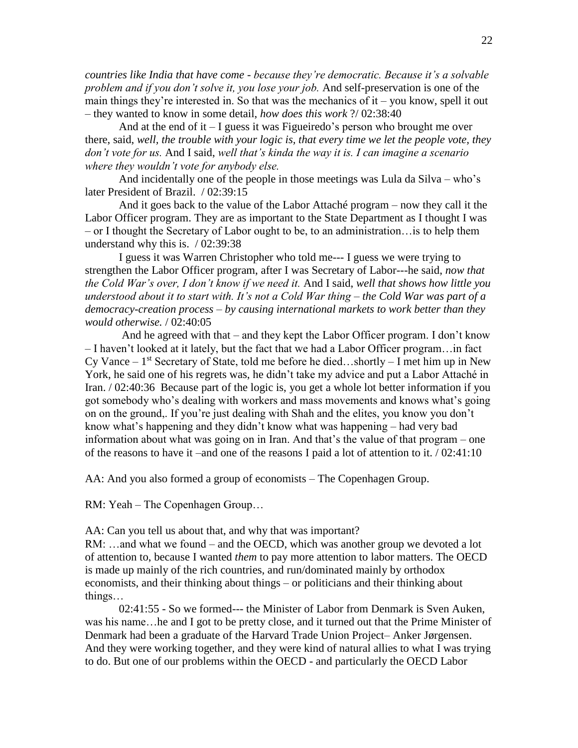*countries like India that have come - because they're democratic. Because it's a solvable problem and if you don't solve it, you lose your job.* And self-preservation is one of the main things they're interested in. So that was the mechanics of  $it - you know, spell it out$ – they wanted to know in some detail, *how does this work* ?/ 02:38:40

And at the end of it  $-1$  guess it was Figueiredo's person who brought me over there, said, *well, the trouble with your logic is, that every time we let the people vote, they don't vote for us.* And I said, *well that's kinda the way it is. I can imagine a scenario where they wouldn't vote for anybody else.*

And incidentally one of the people in those meetings was Lula da Silva – who's later President of Brazil. / 02:39:15

And it goes back to the value of the Labor Attaché program – now they call it the Labor Officer program. They are as important to the State Department as I thought I was – or I thought the Secretary of Labor ought to be, to an administration…is to help them understand why this is. / 02:39:38

I guess it was Warren Christopher who told me--- I guess we were trying to strengthen the Labor Officer program, after I was Secretary of Labor---he said, *now that the Cold War's over, I don't know if we need it.* And I said, *well that shows how little you understood about it to start with. It's not a Cold War thing – the Cold War was part of a democracy-creation process – by causing international markets to work better than they would otherwise.* / 02:40:05

And he agreed with that – and they kept the Labor Officer program. I don't know – I haven't looked at it lately, but the fact that we had a Labor Officer program…in fact Cy Vance  $-1$ <sup>st</sup> Secretary of State, told me before he died...shortly  $-1$  met him up in New York, he said one of his regrets was, he didn't take my advice and put a Labor Attaché in Iran. / 02:40:36 Because part of the logic is, you get a whole lot better information if you got somebody who's dealing with workers and mass movements and knows what's going on on the ground,. If you're just dealing with Shah and the elites, you know you don't know what's happening and they didn't know what was happening – had very bad information about what was going on in Iran. And that's the value of that program – one of the reasons to have it –and one of the reasons I paid a lot of attention to it.  $/ 02:41:10$ 

AA: And you also formed a group of economists – The Copenhagen Group.

RM: Yeah – The Copenhagen Group…

AA: Can you tell us about that, and why that was important?

RM: …and what we found – and the OECD, which was another group we devoted a lot of attention to, because I wanted *them* to pay more attention to labor matters. The OECD is made up mainly of the rich countries, and run/dominated mainly by orthodox economists, and their thinking about things – or politicians and their thinking about things…

02:41:55 - So we formed--- the Minister of Labor from Denmark is Sven Auken, was his name…he and I got to be pretty close, and it turned out that the Prime Minister of Denmark had been a graduate of the Harvard Trade Union Project– [Anker Jørgensen.](https://en.wikipedia.org/wiki/Anker_J%C3%B8rgensen) And they were working together, and they were kind of natural allies to what I was trying to do. But one of our problems within the OECD - and particularly the OECD Labor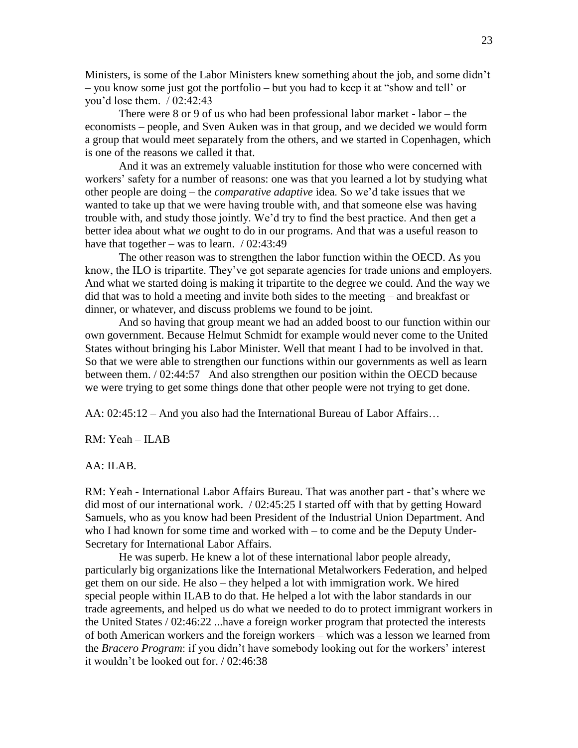Ministers, is some of the Labor Ministers knew something about the job, and some didn't – you know some just got the portfolio – but you had to keep it at "show and tell' or you'd lose them. / 02:42:43

There were 8 or 9 of us who had been professional labor market - labor – the economists – people, and Sven Auken was in that group, and we decided we would form a group that would meet separately from the others, and we started in Copenhagen, which is one of the reasons we called it that.

And it was an extremely valuable institution for those who were concerned with workers' safety for a number of reasons: one was that you learned a lot by studying what other people are doing – the *comparative adaptive* idea. So we'd take issues that we wanted to take up that we were having trouble with, and that someone else was having trouble with, and study those jointly. We'd try to find the best practice. And then get a better idea about what *we* ought to do in our programs. And that was a useful reason to have that together – was to learn.  $/ 02:43:49$ 

The other reason was to strengthen the labor function within the OECD. As you know, the ILO is tripartite. They've got separate agencies for trade unions and employers. And what we started doing is making it tripartite to the degree we could. And the way we did that was to hold a meeting and invite both sides to the meeting – and breakfast or dinner, or whatever, and discuss problems we found to be joint.

And so having that group meant we had an added boost to our function within our own government. Because Helmut Schmidt for example would never come to the United States without bringing his Labor Minister. Well that meant I had to be involved in that. So that we were able to strengthen our functions within our governments as well as learn between them. / 02:44:57 And also strengthen our position within the OECD because we were trying to get some things done that other people were not trying to get done.

AA: 02:45:12 – And you also had the International Bureau of Labor Affairs…

RM: Yeah – ILAB

AA: ILAB.

RM: Yeah - International Labor Affairs Bureau. That was another part - that's where we did most of our international work. / 02:45:25 I started off with that by getting Howard Samuels, who as you know had been President of the Industrial Union Department. And who I had known for some time and worked with – to come and be the Deputy Under-Secretary for International Labor Affairs.

He was superb. He knew a lot of these international labor people already, particularly big organizations like the International Metalworkers Federation, and helped get them on our side. He also – they helped a lot with immigration work. We hired special people within ILAB to do that. He helped a lot with the labor standards in our trade agreements, and helped us do what we needed to do to protect immigrant workers in the United States / 02:46:22 ...have a foreign worker program that protected the interests of both American workers and the foreign workers – which was a lesson we learned from the *Bracero Program*: if you didn't have somebody looking out for the workers' interest it wouldn't be looked out for. / 02:46:38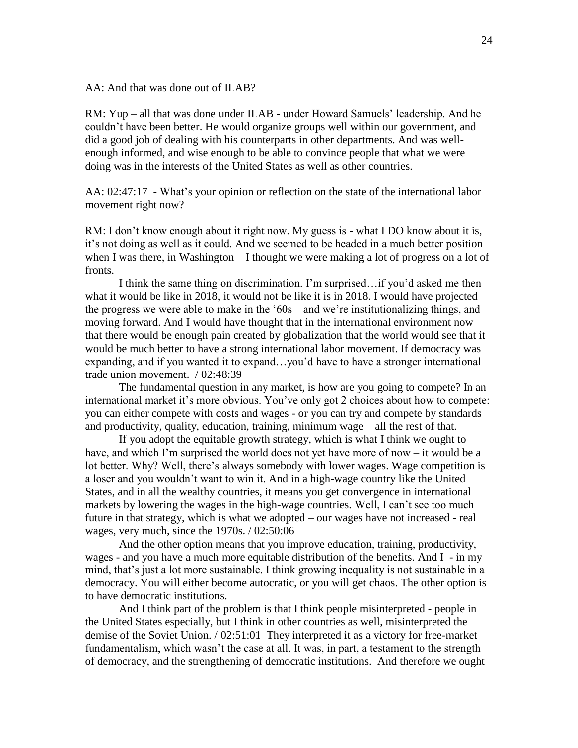AA: And that was done out of ILAB?

RM: Yup – all that was done under ILAB - under Howard Samuels' leadership. And he couldn't have been better. He would organize groups well within our government, and did a good job of dealing with his counterparts in other departments. And was wellenough informed, and wise enough to be able to convince people that what we were doing was in the interests of the United States as well as other countries.

AA: 02:47:17 - What's your opinion or reflection on the state of the international labor movement right now?

RM: I don't know enough about it right now. My guess is - what I DO know about it is, it's not doing as well as it could. And we seemed to be headed in a much better position when I was there, in Washington  $-I$  thought we were making a lot of progress on a lot of fronts.

I think the same thing on discrimination. I'm surprised…if you'd asked me then what it would be like in 2018, it would not be like it is in 2018. I would have projected the progress we were able to make in the '60s – and we're institutionalizing things, and moving forward. And I would have thought that in the international environment now – that there would be enough pain created by globalization that the world would see that it would be much better to have a strong international labor movement. If democracy was expanding, and if you wanted it to expand…you'd have to have a stronger international trade union movement. / 02:48:39

The fundamental question in any market, is how are you going to compete? In an international market it's more obvious. You've only got 2 choices about how to compete: you can either compete with costs and wages - or you can try and compete by standards – and productivity, quality, education, training, minimum wage – all the rest of that.

If you adopt the equitable growth strategy, which is what I think we ought to have, and which I'm surprised the world does not yet have more of now – it would be a lot better. Why? Well, there's always somebody with lower wages. Wage competition is a loser and you wouldn't want to win it. And in a high-wage country like the United States, and in all the wealthy countries, it means you get convergence in international markets by lowering the wages in the high-wage countries. Well, I can't see too much future in that strategy, which is what we adopted – our wages have not increased - real wages, very much, since the 1970s. / 02:50:06

And the other option means that you improve education, training, productivity, wages - and you have a much more equitable distribution of the benefits. And I - in my mind, that's just a lot more sustainable. I think growing inequality is not sustainable in a democracy. You will either become autocratic, or you will get chaos. The other option is to have democratic institutions.

And I think part of the problem is that I think people misinterpreted - people in the United States especially, but I think in other countries as well, misinterpreted the demise of the Soviet Union. / 02:51:01 They interpreted it as a victory for free-market fundamentalism, which wasn't the case at all. It was, in part, a testament to the strength of democracy, and the strengthening of democratic institutions. And therefore we ought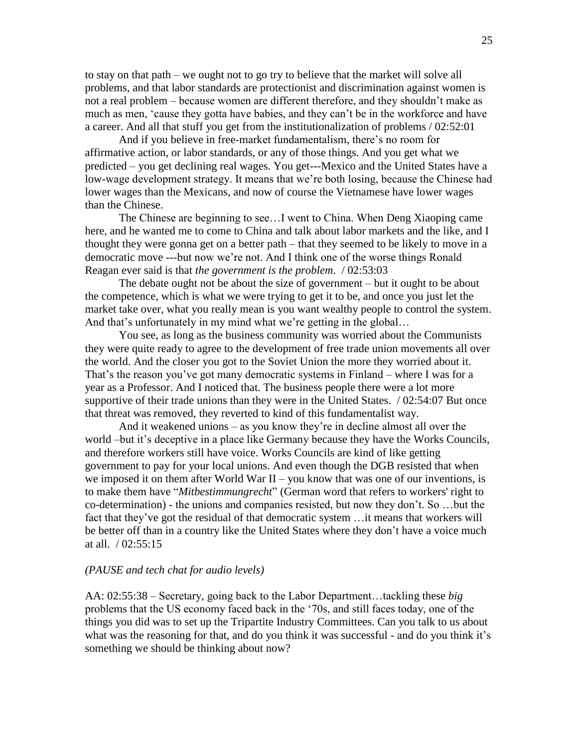to stay on that path – we ought not to go try to believe that the market will solve all problems, and that labor standards are protectionist and discrimination against women is not a real problem – because women are different therefore, and they shouldn't make as much as men, 'cause they gotta have babies, and they can't be in the workforce and have a career. And all that stuff you get from the institutionalization of problems / 02:52:01

And if you believe in free-market fundamentalism, there's no room for affirmative action, or labor standards, or any of those things. And you get what we predicted – you get declining real wages. You get---Mexico and the United States have a low-wage development strategy. It means that we're both losing, because the Chinese had lower wages than the Mexicans, and now of course the Vietnamese have lower wages than the Chinese.

The Chinese are beginning to see…I went to China. When Deng Xiaoping came here, and he wanted me to come to China and talk about labor markets and the like, and I thought they were gonna get on a better path – that they seemed to be likely to move in a democratic move ---but now we're not. And I think one of the worse things Ronald Reagan ever said is that *the government is the problem*. / 02:53:03

The debate ought not be about the size of government – but it ought to be about the competence, which is what we were trying to get it to be, and once you just let the market take over, what you really mean is you want wealthy people to control the system. And that's unfortunately in my mind what we're getting in the global…

You see, as long as the business community was worried about the Communists they were quite ready to agree to the development of free trade union movements all over the world. And the closer you got to the Soviet Union the more they worried about it. That's the reason you've got many democratic systems in Finland – where I was for a year as a Professor. And I noticed that. The business people there were a lot more supportive of their trade unions than they were in the United States. / 02:54:07 But once that threat was removed, they reverted to kind of this fundamentalist way.

And it weakened unions – as you know they're in decline almost all over the world –but it's deceptive in a place like Germany because they have the Works Councils, and therefore workers still have voice. Works Councils are kind of like getting government to pay for your local unions. And even though the DGB resisted that when we imposed it on them after World War II – you know that was one of our inventions, is to make them have "*Mitbestimmungrecht*" (German word that refers to workers' right to co-determination) - the unions and companies resisted, but now they don't. So …but the fact that they've got the residual of that democratic system ... it means that workers will be better off than in a country like the United States where they don't have a voice much at all. / 02:55:15

#### *(PAUSE and tech chat for audio levels)*

AA: 02:55:38 – Secretary, going back to the Labor Department…tackling these *big* problems that the US economy faced back in the '70s, and still faces today, one of the things you did was to set up the Tripartite Industry Committees. Can you talk to us about what was the reasoning for that, and do you think it was successful - and do you think it's something we should be thinking about now?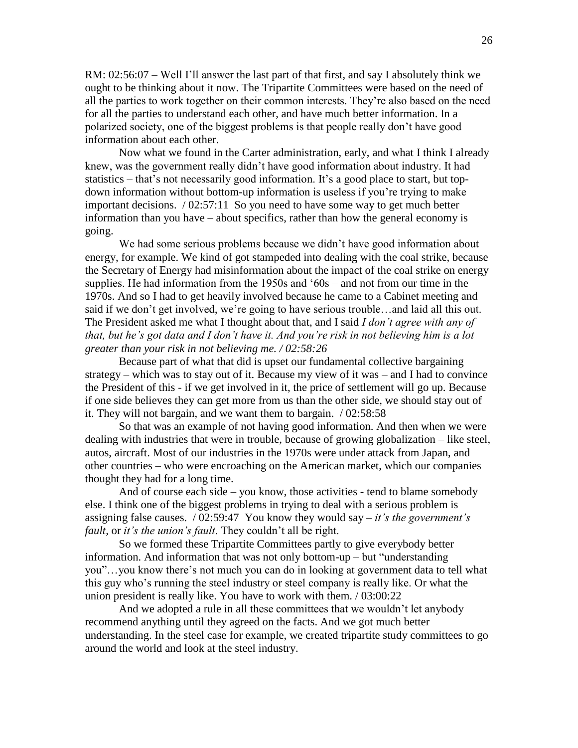RM: 02:56:07 – Well I'll answer the last part of that first, and say I absolutely think we ought to be thinking about it now. The Tripartite Committees were based on the need of all the parties to work together on their common interests. They're also based on the need for all the parties to understand each other, and have much better information. In a polarized society, one of the biggest problems is that people really don't have good information about each other.

Now what we found in the Carter administration, early, and what I think I already knew, was the government really didn't have good information about industry. It had statistics – that's not necessarily good information. It's a good place to start, but topdown information without bottom-up information is useless if you're trying to make important decisions. / 02:57:11 So you need to have some way to get much better information than you have – about specifics, rather than how the general economy is going.

We had some serious problems because we didn't have good information about energy, for example. We kind of got stampeded into dealing with the coal strike, because the Secretary of Energy had misinformation about the impact of the coal strike on energy supplies. He had information from the 1950s and '60s – and not from our time in the 1970s. And so I had to get heavily involved because he came to a Cabinet meeting and said if we don't get involved, we're going to have serious trouble…and laid all this out. The President asked me what I thought about that, and I said *I don't agree with any of that, but he's got data and I don't have it. And you're risk in not believing him is a lot greater than your risk in not believing me. / 02:58:26*

Because part of what that did is upset our fundamental collective bargaining strategy – which was to stay out of it. Because my view of it was – and I had to convince the President of this - if we get involved in it, the price of settlement will go up. Because if one side believes they can get more from us than the other side, we should stay out of it. They will not bargain, and we want them to bargain. / 02:58:58

So that was an example of not having good information. And then when we were dealing with industries that were in trouble, because of growing globalization – like steel, autos, aircraft. Most of our industries in the 1970s were under attack from Japan, and other countries – who were encroaching on the American market, which our companies thought they had for a long time.

And of course each side – you know, those activities - tend to blame somebody else. I think one of the biggest problems in trying to deal with a serious problem is assigning false causes. / 02:59:47 You know they would say – *it's the government's fault,* or *it's the union's fault*. They couldn't all be right.

So we formed these Tripartite Committees partly to give everybody better information. And information that was not only bottom-up – but "understanding you"…you know there's not much you can do in looking at government data to tell what this guy who's running the steel industry or steel company is really like. Or what the union president is really like. You have to work with them. / 03:00:22

And we adopted a rule in all these committees that we wouldn't let anybody recommend anything until they agreed on the facts. And we got much better understanding. In the steel case for example, we created tripartite study committees to go around the world and look at the steel industry.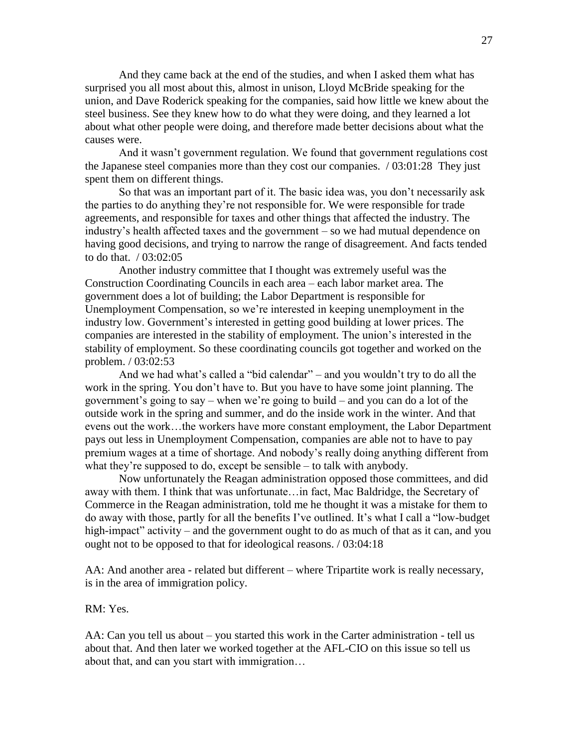And they came back at the end of the studies, and when I asked them what has surprised you all most about this, almost in unison, Lloyd McBride speaking for the union, and Dave Roderick speaking for the companies, said how little we knew about the steel business. See they knew how to do what they were doing, and they learned a lot about what other people were doing, and therefore made better decisions about what the causes were.

And it wasn't government regulation. We found that government regulations cost the Japanese steel companies more than they cost our companies. / 03:01:28 They just spent them on different things.

So that was an important part of it. The basic idea was, you don't necessarily ask the parties to do anything they're not responsible for. We were responsible for trade agreements, and responsible for taxes and other things that affected the industry. The industry's health affected taxes and the government – so we had mutual dependence on having good decisions, and trying to narrow the range of disagreement. And facts tended to do that. / 03:02:05

Another industry committee that I thought was extremely useful was the Construction Coordinating Councils in each area – each labor market area. The government does a lot of building; the Labor Department is responsible for Unemployment Compensation, so we're interested in keeping unemployment in the industry low. Government's interested in getting good building at lower prices. The companies are interested in the stability of employment. The union's interested in the stability of employment. So these coordinating councils got together and worked on the problem. / 03:02:53

And we had what's called a "bid calendar" – and you wouldn't try to do all the work in the spring. You don't have to. But you have to have some joint planning. The government's going to say – when we're going to build – and you can do a lot of the outside work in the spring and summer, and do the inside work in the winter. And that evens out the work…the workers have more constant employment, the Labor Department pays out less in Unemployment Compensation, companies are able not to have to pay premium wages at a time of shortage. And nobody's really doing anything different from what they're supposed to do, except be sensible – to talk with anybody.

Now unfortunately the Reagan administration opposed those committees, and did away with them. I think that was unfortunate…in fact, Mac Baldridge, the Secretary of Commerce in the Reagan administration, told me he thought it was a mistake for them to do away with those, partly for all the benefits I've outlined. It's what I call a "low-budget high-impact" activity – and the government ought to do as much of that as it can, and you ought not to be opposed to that for ideological reasons. / 03:04:18

AA: And another area - related but different – where Tripartite work is really necessary, is in the area of immigration policy.

RM: Yes.

AA: Can you tell us about – you started this work in the Carter administration - tell us about that. And then later we worked together at the AFL-CIO on this issue so tell us about that, and can you start with immigration…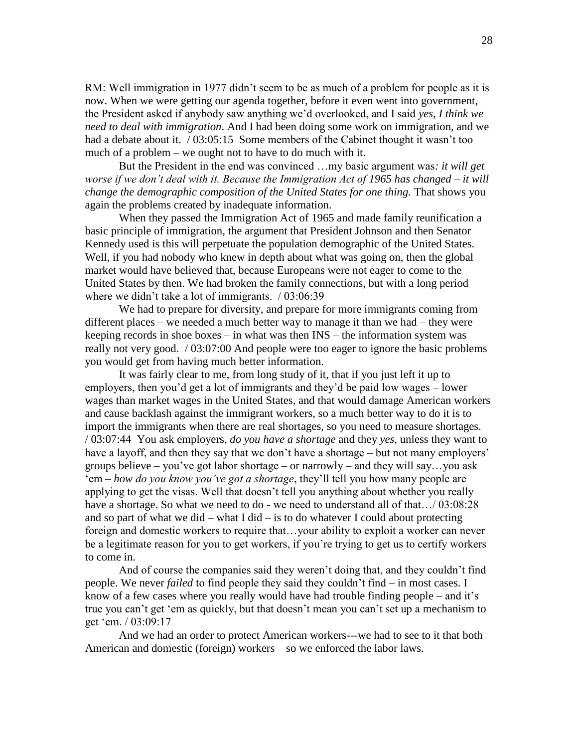RM: Well immigration in 1977 didn't seem to be as much of a problem for people as it is now. When we were getting our agenda together, before it even went into government, the President asked if anybody saw anything we'd overlooked, and I said *yes, I think we need to deal with immigration*. And I had been doing some work on immigration, and we had a debate about it. / 03:05:15 Some members of the Cabinet thought it wasn't too much of a problem – we ought not to have to do much with it.

But the President in the end was convinced …my basic argument was*: it will get worse if we don't deal with it. Because the Immigration Act of 1965 has changed – it will change the demographic composition of the United States for one thing.* That shows you again the problems created by inadequate information.

When they passed the Immigration Act of 1965 and made family reunification a basic principle of immigration, the argument that President Johnson and then Senator Kennedy used is this will perpetuate the population demographic of the United States. Well, if you had nobody who knew in depth about what was going on, then the global market would have believed that, because Europeans were not eager to come to the United States by then. We had broken the family connections, but with a long period where we didn't take a lot of immigrants. / 03:06:39

We had to prepare for diversity, and prepare for more immigrants coming from different places – we needed a much better way to manage it than we had – they were keeping records in shoe boxes – in what was then INS – the information system was really not very good. / 03:07:00 And people were too eager to ignore the basic problems you would get from having much better information.

It was fairly clear to me, from long study of it, that if you just left it up to employers, then you'd get a lot of immigrants and they'd be paid low wages – lower wages than market wages in the United States, and that would damage American workers and cause backlash against the immigrant workers, so a much better way to do it is to import the immigrants when there are real shortages, so you need to measure shortages. / 03:07:44 You ask employers, *do you have a shortage* and they *yes,* unless they want to have a layoff, and then they say that we don't have a shortage – but not many employers' groups believe – you've got labor shortage – or narrowly – and they will say…you ask 'em – *how do you know you've got a shortage*, they'll tell you how many people are applying to get the visas. Well that doesn't tell you anything about whether you really have a shortage. So what we need to do - we need to understand all of that.../ 03:08:28 and so part of what we did – what I did – is to do whatever I could about protecting foreign and domestic workers to require that…your ability to exploit a worker can never be a legitimate reason for you to get workers, if you're trying to get us to certify workers to come in.

And of course the companies said they weren't doing that, and they couldn't find people. We never *failed* to find people they said they couldn't find – in most cases. I know of a few cases where you really would have had trouble finding people – and it's true you can't get 'em as quickly, but that doesn't mean you can't set up a mechanism to get 'em. / 03:09:17

And we had an order to protect American workers---we had to see to it that both American and domestic (foreign) workers – so we enforced the labor laws.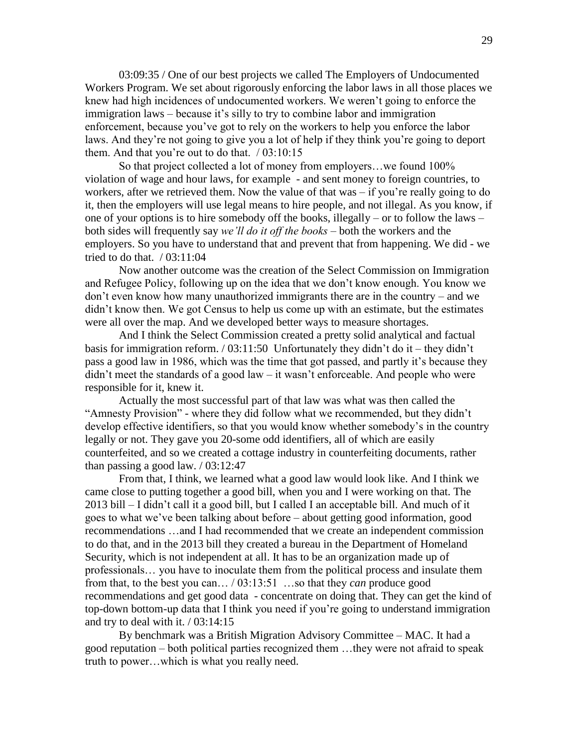03:09:35 / One of our best projects we called The Employers of Undocumented Workers Program. We set about rigorously enforcing the labor laws in all those places we knew had high incidences of undocumented workers. We weren't going to enforce the immigration laws – because it's silly to try to combine labor and immigration enforcement, because you've got to rely on the workers to help you enforce the labor laws. And they're not going to give you a lot of help if they think you're going to deport them. And that you're out to do that. / 03:10:15

So that project collected a lot of money from employers…we found 100% violation of wage and hour laws, for example - and sent money to foreign countries, to workers, after we retrieved them. Now the value of that was – if you're really going to do it, then the employers will use legal means to hire people, and not illegal. As you know, if one of your options is to hire somebody off the books, illegally – or to follow the laws – both sides will frequently say *we'll do it off the books* – both the workers and the employers. So you have to understand that and prevent that from happening. We did - we tried to do that. / 03:11:04

Now another outcome was the creation of the Select Commission on Immigration and Refugee Policy, following up on the idea that we don't know enough. You know we don't even know how many unauthorized immigrants there are in the country – and we didn't know then. We got Census to help us come up with an estimate, but the estimates were all over the map. And we developed better ways to measure shortages.

And I think the Select Commission created a pretty solid analytical and factual basis for immigration reform. / 03:11:50 Unfortunately they didn't do it – they didn't pass a good law in 1986, which was the time that got passed, and partly it's because they didn't meet the standards of a good law – it wasn't enforceable. And people who were responsible for it, knew it.

Actually the most successful part of that law was what was then called the "Amnesty Provision" - where they did follow what we recommended, but they didn't develop effective identifiers, so that you would know whether somebody's in the country legally or not. They gave you 20-some odd identifiers, all of which are easily counterfeited, and so we created a cottage industry in counterfeiting documents, rather than passing a good law. / 03:12:47

From that, I think, we learned what a good law would look like. And I think we came close to putting together a good bill, when you and I were working on that. The 2013 bill – I didn't call it a good bill, but I called I an acceptable bill. And much of it goes to what we've been talking about before – about getting good information, good recommendations …and I had recommended that we create an independent commission to do that, and in the 2013 bill they created a bureau in the Department of Homeland Security, which is not independent at all. It has to be an organization made up of professionals… you have to inoculate them from the political process and insulate them from that, to the best you can… / 03:13:51 …so that they *can* produce good recommendations and get good data - concentrate on doing that. They can get the kind of top-down bottom-up data that I think you need if you're going to understand immigration and try to deal with it. / 03:14:15

By benchmark was a British Migration Advisory Committee – MAC. It had a good reputation – both political parties recognized them …they were not afraid to speak truth to power…which is what you really need.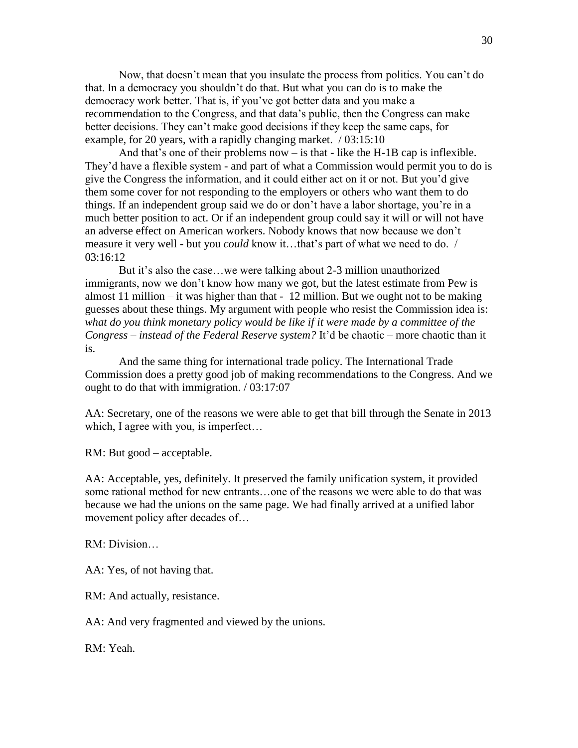Now, that doesn't mean that you insulate the process from politics. You can't do that. In a democracy you shouldn't do that. But what you can do is to make the democracy work better. That is, if you've got better data and you make a recommendation to the Congress, and that data's public, then the Congress can make better decisions. They can't make good decisions if they keep the same caps, for example, for 20 years, with a rapidly changing market. / 03:15:10

And that's one of their problems now  $-$  is that  $-$  like the H-1B cap is inflexible. They'd have a flexible system - and part of what a Commission would permit you to do is give the Congress the information, and it could either act on it or not. But you'd give them some cover for not responding to the employers or others who want them to do things. If an independent group said we do or don't have a labor shortage, you're in a much better position to act. Or if an independent group could say it will or will not have an adverse effect on American workers. Nobody knows that now because we don't measure it very well - but you *could* know it…that's part of what we need to do. / 03:16:12

But it's also the case…we were talking about 2-3 million unauthorized immigrants, now we don't know how many we got, but the latest estimate from Pew is almost 11 million – it was higher than that  $-12$  million. But we ought not to be making guesses about these things. My argument with people who resist the Commission idea is: *what do you think monetary policy would be like if it were made by a committee of the Congress – instead of the Federal Reserve system?* It'd be chaotic – more chaotic than it is.

And the same thing for international trade policy. The International Trade Commission does a pretty good job of making recommendations to the Congress. And we ought to do that with immigration. / 03:17:07

AA: Secretary, one of the reasons we were able to get that bill through the Senate in 2013 which, I agree with you, is imperfect...

RM: But good – acceptable.

AA: Acceptable, yes, definitely. It preserved the family unification system, it provided some rational method for new entrants…one of the reasons we were able to do that was because we had the unions on the same page. We had finally arrived at a unified labor movement policy after decades of…

RM: Division…

AA: Yes, of not having that.

RM: And actually, resistance.

AA: And very fragmented and viewed by the unions.

RM: Yeah.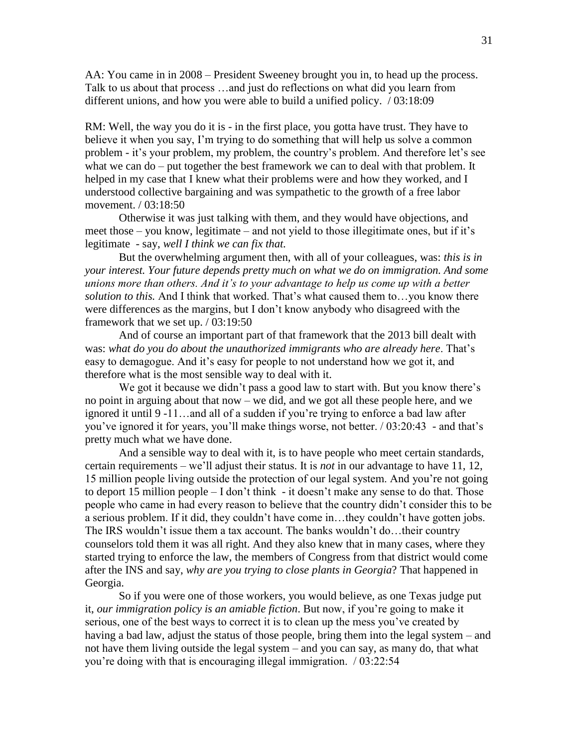AA: You came in in 2008 – President Sweeney brought you in, to head up the process. Talk to us about that process …and just do reflections on what did you learn from different unions, and how you were able to build a unified policy. / 03:18:09

RM: Well, the way you do it is - in the first place, you gotta have trust. They have to believe it when you say, I'm trying to do something that will help us solve a common problem - it's your problem, my problem, the country's problem. And therefore let's see what we can do – put together the best framework we can to deal with that problem. It helped in my case that I knew what their problems were and how they worked, and I understood collective bargaining and was sympathetic to the growth of a free labor movement. / 03:18:50

Otherwise it was just talking with them, and they would have objections, and meet those – you know, legitimate – and not yield to those illegitimate ones, but if it's legitimate - say, *well I think we can fix that.*

But the overwhelming argument then, with all of your colleagues, was: *this is in your interest. Your future depends pretty much on what we do on immigration. And some unions more than others. And it's to your advantage to help us come up with a better solution to this.* And I think that worked. That's what caused them to…you know there were differences as the margins, but I don't know anybody who disagreed with the framework that we set up. / 03:19:50

And of course an important part of that framework that the 2013 bill dealt with was: *what do you do about the unauthorized immigrants who are already here*. That's easy to demagogue. And it's easy for people to not understand how we got it, and therefore what is the most sensible way to deal with it.

We got it because we didn't pass a good law to start with. But you know there's no point in arguing about that now – we did, and we got all these people here, and we ignored it until 9 -11…and all of a sudden if you're trying to enforce a bad law after you've ignored it for years, you'll make things worse, not better. / 03:20:43 - and that's pretty much what we have done.

And a sensible way to deal with it, is to have people who meet certain standards, certain requirements – we'll adjust their status. It is *not* in our advantage to have 11, 12, 15 million people living outside the protection of our legal system. And you're not going to deport 15 million people – I don't think - it doesn't make any sense to do that. Those people who came in had every reason to believe that the country didn't consider this to be a serious problem. If it did, they couldn't have come in…they couldn't have gotten jobs. The IRS wouldn't issue them a tax account. The banks wouldn't do…their country counselors told them it was all right. And they also knew that in many cases, where they started trying to enforce the law, the members of Congress from that district would come after the INS and say, *why are you trying to close plants in Georgia*? That happened in Georgia.

So if you were one of those workers, you would believe, as one Texas judge put it, *our immigration policy is an amiable fiction*. But now, if you're going to make it serious, one of the best ways to correct it is to clean up the mess you've created by having a bad law, adjust the status of those people, bring them into the legal system – and not have them living outside the legal system – and you can say, as many do, that what you're doing with that is encouraging illegal immigration. / 03:22:54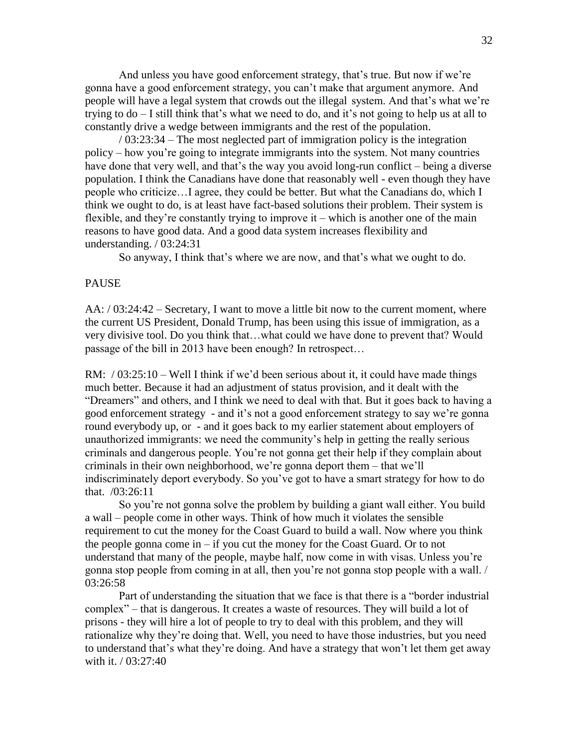And unless you have good enforcement strategy, that's true. But now if we're gonna have a good enforcement strategy, you can't make that argument anymore. And people will have a legal system that crowds out the illegal system. And that's what we're trying to do – I still think that's what we need to do, and it's not going to help us at all to constantly drive a wedge between immigrants and the rest of the population.

/ 03:23:34 – The most neglected part of immigration policy is the integration policy – how you're going to integrate immigrants into the system. Not many countries have done that very well, and that's the way you avoid long-run conflict – being a diverse population. I think the Canadians have done that reasonably well - even though they have people who criticize…I agree, they could be better. But what the Canadians do, which I think we ought to do, is at least have fact-based solutions their problem. Their system is flexible, and they're constantly trying to improve it – which is another one of the main reasons to have good data. And a good data system increases flexibility and understanding. / 03:24:31

So anyway, I think that's where we are now, and that's what we ought to do.

#### PAUSE

AA: / 03:24:42 – Secretary, I want to move a little bit now to the current moment, where the current US President, Donald Trump, has been using this issue of immigration, as a very divisive tool. Do you think that…what could we have done to prevent that? Would passage of the bill in 2013 have been enough? In retrospect…

RM:  $/03:25:10$  – Well I think if we'd been serious about it, it could have made things much better. Because it had an adjustment of status provision, and it dealt with the "Dreamers" and others, and I think we need to deal with that. But it goes back to having a good enforcement strategy - and it's not a good enforcement strategy to say we're gonna round everybody up, or - and it goes back to my earlier statement about employers of unauthorized immigrants: we need the community's help in getting the really serious criminals and dangerous people. You're not gonna get their help if they complain about criminals in their own neighborhood, we're gonna deport them – that we'll indiscriminately deport everybody. So you've got to have a smart strategy for how to do that. /03:26:11

So you're not gonna solve the problem by building a giant wall either. You build a wall – people come in other ways. Think of how much it violates the sensible requirement to cut the money for the Coast Guard to build a wall. Now where you think the people gonna come in  $-$  if you cut the money for the Coast Guard. Or to not understand that many of the people, maybe half, now come in with visas. Unless you're gonna stop people from coming in at all, then you're not gonna stop people with a wall. / 03:26:58

Part of understanding the situation that we face is that there is a "border industrial complex" – that is dangerous. It creates a waste of resources. They will build a lot of prisons - they will hire a lot of people to try to deal with this problem, and they will rationalize why they're doing that. Well, you need to have those industries, but you need to understand that's what they're doing. And have a strategy that won't let them get away with it. */* 03:27:40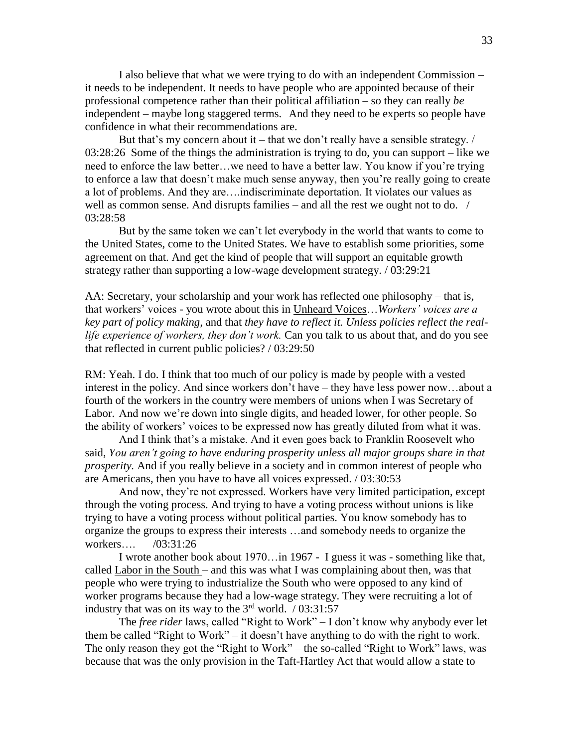I also believe that what we were trying to do with an independent Commission – it needs to be independent. It needs to have people who are appointed because of their professional competence rather than their political affiliation – so they can really *be* independent – maybe long staggered terms. And they need to be experts so people have confidence in what their recommendations are.

But that's my concern about it – that we don't really have a sensible strategy.  $\ell$ 03:28:26 Some of the things the administration is trying to do, you can support – like we need to enforce the law better…we need to have a better law. You know if you're trying to enforce a law that doesn't make much sense anyway, then you're really going to create a lot of problems. And they are….indiscriminate deportation. It violates our values as well as common sense. And disrupts families – and all the rest we ought not to do. / 03:28:58

But by the same token we can't let everybody in the world that wants to come to the United States, come to the United States. We have to establish some priorities, some agreement on that. And get the kind of people that will support an equitable growth strategy rather than supporting a low-wage development strategy. / 03:29:21

AA: Secretary, your scholarship and your work has reflected one philosophy – that is, that workers' voices - you wrote about this in Unheard Voices…*Workers' voices are a key part of policy making,* and that *they have to reflect it. Unless policies reflect the reallife experience of workers, they don't work.* Can you talk to us about that, and do you see that reflected in current public policies? / 03:29:50

RM: Yeah. I do. I think that too much of our policy is made by people with a vested interest in the policy. And since workers don't have – they have less power now…about a fourth of the workers in the country were members of unions when I was Secretary of Labor. And now we're down into single digits, and headed lower, for other people. So the ability of workers' voices to be expressed now has greatly diluted from what it was.

And I think that's a mistake. And it even goes back to Franklin Roosevelt who said, *You aren't going to have enduring prosperity unless all major groups share in that prosperity.* And if you really believe in a society and in common interest of people who are Americans, then you have to have all voices expressed. / 03:30:53

And now, they're not expressed. Workers have very limited participation, except through the voting process. And trying to have a voting process without unions is like trying to have a voting process without political parties. You know somebody has to organize the groups to express their interests …and somebody needs to organize the workers…. /03:31:26

I wrote another book about 1970…in 1967 - I guess it was - something like that, called Labor in the South – and this was what I was complaining about then, was that people who were trying to industrialize the South who were opposed to any kind of worker programs because they had a low-wage strategy. They were recruiting a lot of industry that was on its way to the  $3<sup>rd</sup>$  world. / 03:31:57

The *free rider* laws, called "Right to Work" – I don't know why anybody ever let them be called "Right to Work" – it doesn't have anything to do with the right to work. The only reason they got the "Right to Work" – the so-called "Right to Work" laws, was because that was the only provision in the Taft-Hartley Act that would allow a state to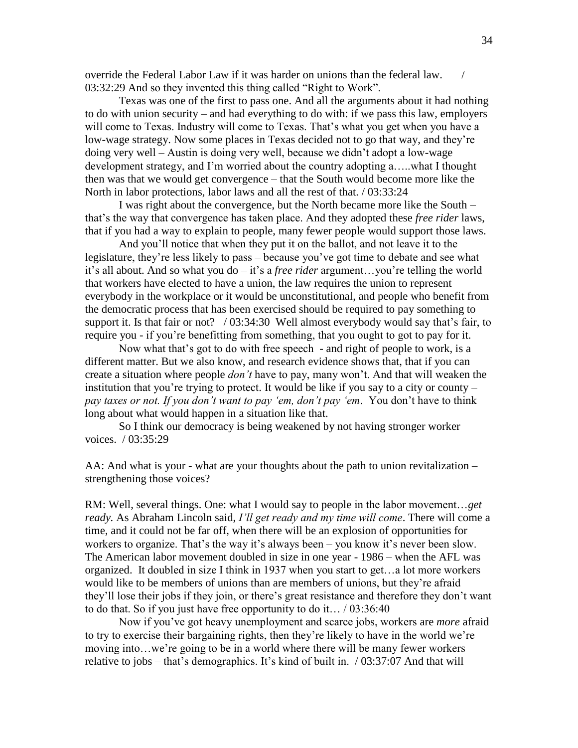override the Federal Labor Law if it was harder on unions than the federal law. / 03:32:29 And so they invented this thing called "Right to Work".

Texas was one of the first to pass one. And all the arguments about it had nothing to do with union security – and had everything to do with: if we pass this law, employers will come to Texas. Industry will come to Texas. That's what you get when you have a low-wage strategy. Now some places in Texas decided not to go that way, and they're doing very well – Austin is doing very well, because we didn't adopt a low-wage development strategy, and I'm worried about the country adopting a…..what I thought then was that we would get convergence – that the South would become more like the North in labor protections, labor laws and all the rest of that. / 03:33:24

I was right about the convergence, but the North became more like the South – that's the way that convergence has taken place. And they adopted these *free rider* laws, that if you had a way to explain to people, many fewer people would support those laws.

And you'll notice that when they put it on the ballot, and not leave it to the legislature, they're less likely to pass – because you've got time to debate and see what it's all about. And so what you do – it's a *free rider* argument…you're telling the world that workers have elected to have a union, the law requires the union to represent everybody in the workplace or it would be unconstitutional, and people who benefit from the democratic process that has been exercised should be required to pay something to support it. Is that fair or not? / 03:34:30 Well almost everybody would say that's fair, to require you - if you're benefitting from something, that you ought to got to pay for it.

Now what that's got to do with free speech - and right of people to work, is a different matter. But we also know, and research evidence shows that, that if you can create a situation where people *don't* have to pay, many won't. And that will weaken the institution that you're trying to protect. It would be like if you say to a city or county – *pay taxes or not. If you don't want to pay 'em, don't pay 'em*. You don't have to think long about what would happen in a situation like that.

So I think our democracy is being weakened by not having stronger worker voices. / 03:35:29

AA: And what is your - what are your thoughts about the path to union revitalization – strengthening those voices?

RM: Well, several things. One: what I would say to people in the labor movement…*get ready.* As Abraham Lincoln said, *I'll get ready and my time will come*. There will come a time, and it could not be far off, when there will be an explosion of opportunities for workers to organize. That's the way it's always been – you know it's never been slow. The American labor movement doubled in size in one year - 1986 – when the AFL was organized. It doubled in size I think in 1937 when you start to get…a lot more workers would like to be members of unions than are members of unions, but they're afraid they'll lose their jobs if they join, or there's great resistance and therefore they don't want to do that. So if you just have free opportunity to do it… / 03:36:40

Now if you've got heavy unemployment and scarce jobs, workers are *more* afraid to try to exercise their bargaining rights, then they're likely to have in the world we're moving into…we're going to be in a world where there will be many fewer workers relative to jobs – that's demographics. It's kind of built in. / 03:37:07 And that will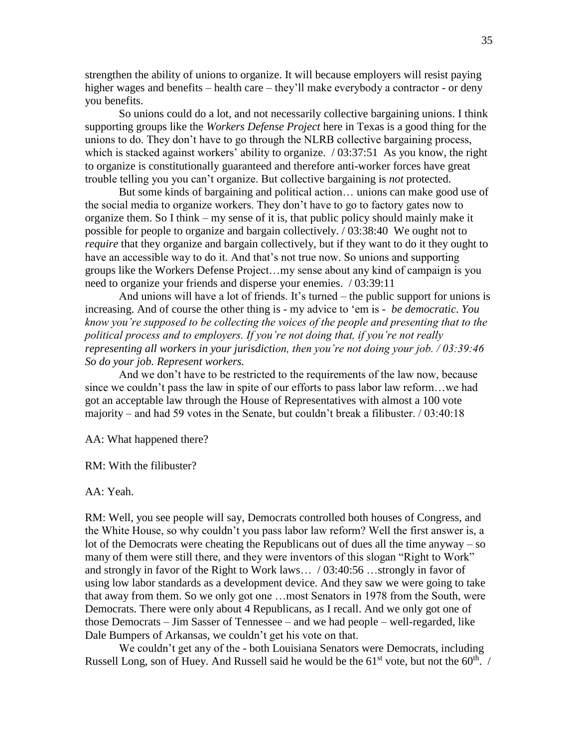strengthen the ability of unions to organize. It will because employers will resist paying higher wages and benefits – health care – they'll make everybody a contractor - or deny you benefits.

So unions could do a lot, and not necessarily collective bargaining unions. I think supporting groups like the *Workers Defense Project* here in Texas is a good thing for the unions to do. They don't have to go through the NLRB collective bargaining process, which is stacked against workers' ability to organize.  $/ 03:37:51$  As you know, the right to organize is constitutionally guaranteed and therefore anti-worker forces have great trouble telling you you can't organize. But collective bargaining is *not* protected.

But some kinds of bargaining and political action… unions can make good use of the social media to organize workers. They don't have to go to factory gates now to organize them. So I think – my sense of it is, that public policy should mainly make it possible for people to organize and bargain collectively. / 03:38:40 We ought not to *require* that they organize and bargain collectively, but if they want to do it they ought to have an accessible way to do it. And that's not true now. So unions and supporting groups like the Workers Defense Project…my sense about any kind of campaign is you need to organize your friends and disperse your enemies. / 03:39:11

And unions will have a lot of friends. It's turned – the public support for unions is increasing. And of course the other thing is - my advice to 'em is - *be democratic*. *You know you're supposed to be collecting the voices of the people and presenting that to the political process and to employers. If you're not doing that, if you're not really representing all workers in your jurisdiction, then you're not doing your job. / 03:39:46 So do your job. Represent workers.*

And we don't have to be restricted to the requirements of the law now, because since we couldn't pass the law in spite of our efforts to pass labor law reform…we had got an acceptable law through the House of Representatives with almost a 100 vote majority – and had 59 votes in the Senate, but couldn't break a filibuster.  $/ 03:40:18$ 

AA: What happened there?

RM: With the filibuster?

AA: Yeah.

RM: Well, you see people will say, Democrats controlled both houses of Congress, and the White House, so why couldn't you pass labor law reform? Well the first answer is, a lot of the Democrats were cheating the Republicans out of dues all the time anyway – so many of them were still there, and they were inventors of this slogan "Right to Work" and strongly in favor of the Right to Work laws… / 03:40:56 …strongly in favor of using low labor standards as a development device. And they saw we were going to take that away from them. So we only got one …most Senators in 1978 from the South, were Democrats. There were only about 4 Republicans, as I recall. And we only got one of those Democrats – Jim Sasser of Tennessee – and we had people – well-regarded, like Dale Bumpers of Arkansas, we couldn't get his vote on that.

We couldn't get any of the - both Louisiana Senators were Democrats, including Russell Long, son of Huey. And Russell said he would be the  $61<sup>st</sup>$  vote, but not the  $60<sup>th</sup>$ . /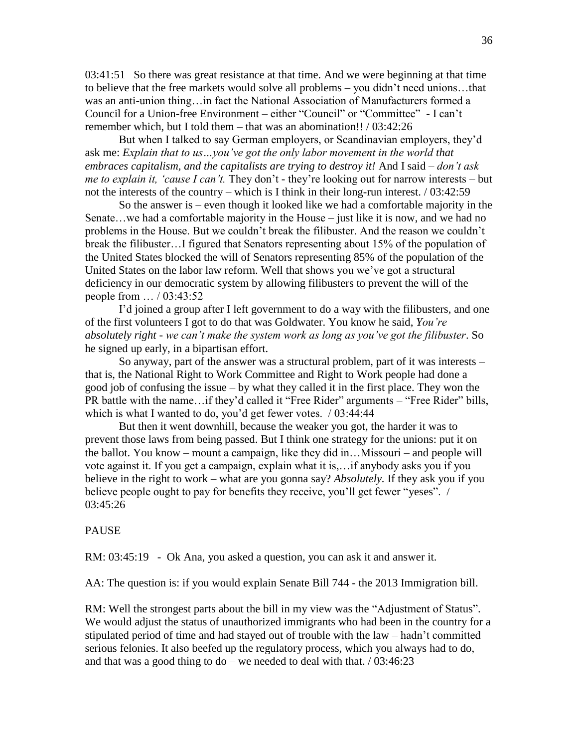03:41:51 So there was great resistance at that time. And we were beginning at that time to believe that the free markets would solve all problems – you didn't need unions…that was an anti-union thing…in fact the National Association of Manufacturers formed a Council for a Union-free Environment – either "Council" or "Committee" - I can't remember which, but I told them – that was an abomination!!  $/ 03:42:26$ 

But when I talked to say German employers, or Scandinavian employers, they'd ask me: *Explain that to us…you've got the only labor movement in the world that embraces capitalism, and the capitalists are trying to destroy it!* And I said – *don't ask me to explain it, 'cause I can't.* They don't - they're looking out for narrow interests – but not the interests of the country – which is I think in their long-run interest. / 03:42:59

So the answer is – even though it looked like we had a comfortable majority in the Senate…we had a comfortable majority in the House – just like it is now, and we had no problems in the House. But we couldn't break the filibuster. And the reason we couldn't break the filibuster…I figured that Senators representing about 15% of the population of the United States blocked the will of Senators representing 85% of the population of the United States on the labor law reform. Well that shows you we've got a structural deficiency in our democratic system by allowing filibusters to prevent the will of the people from … / 03:43:52

I'd joined a group after I left government to do a way with the filibusters, and one of the first volunteers I got to do that was Goldwater. You know he said, *You're absolutely right - we can't make the system work as long as you've got the filibuster*. So he signed up early, in a bipartisan effort.

So anyway, part of the answer was a structural problem, part of it was interests – that is, the National Right to Work Committee and Right to Work people had done a good job of confusing the issue – by what they called it in the first place. They won the PR battle with the name...if they'd called it "Free Rider" arguments – "Free Rider" bills, which is what I wanted to do, you'd get fewer votes. / 03:44:44

But then it went downhill, because the weaker you got, the harder it was to prevent those laws from being passed. But I think one strategy for the unions: put it on the ballot. You know – mount a campaign, like they did in…Missouri – and people will vote against it. If you get a campaign, explain what it is,…if anybody asks you if you believe in the right to work – what are you gonna say? *Absolutely.* If they ask you if you believe people ought to pay for benefits they receive, you'll get fewer "yeses". / 03:45:26

## PAUSE

RM: 03:45:19 - Ok Ana, you asked a question, you can ask it and answer it.

AA: The question is: if you would explain Senate Bill 744 - the 2013 Immigration bill.

RM: Well the strongest parts about the bill in my view was the "Adjustment of Status". We would adjust the status of unauthorized immigrants who had been in the country for a stipulated period of time and had stayed out of trouble with the law – hadn't committed serious felonies. It also beefed up the regulatory process, which you always had to do, and that was a good thing to do – we needed to deal with that.  $/ 03:46:23$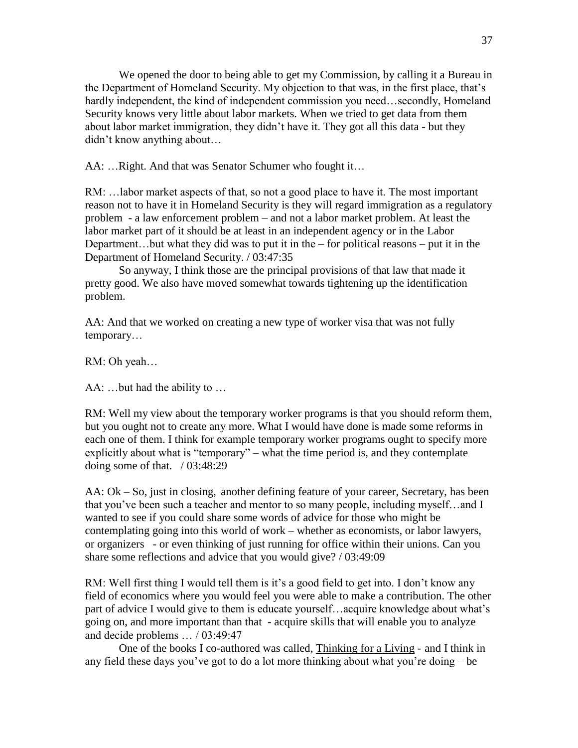We opened the door to being able to get my Commission, by calling it a Bureau in the Department of Homeland Security. My objection to that was, in the first place, that's hardly independent, the kind of independent commission you need…secondly, Homeland Security knows very little about labor markets. When we tried to get data from them about labor market immigration, they didn't have it. They got all this data - but they didn't know anything about…

AA: …Right. And that was Senator Schumer who fought it…

RM: …labor market aspects of that, so not a good place to have it. The most important reason not to have it in Homeland Security is they will regard immigration as a regulatory problem - a law enforcement problem – and not a labor market problem. At least the labor market part of it should be at least in an independent agency or in the Labor Department...but what they did was to put it in the  $-$  for political reasons  $-$  put it in the Department of Homeland Security. / 03:47:35

So anyway, I think those are the principal provisions of that law that made it pretty good. We also have moved somewhat towards tightening up the identification problem.

AA: And that we worked on creating a new type of worker visa that was not fully temporary…

RM: Oh yeah…

AA: …but had the ability to …

RM: Well my view about the temporary worker programs is that you should reform them, but you ought not to create any more. What I would have done is made some reforms in each one of them. I think for example temporary worker programs ought to specify more explicitly about what is "temporary" – what the time period is, and they contemplate doing some of that. / 03:48:29

AA: Ok – So, just in closing, another defining feature of your career, Secretary, has been that you've been such a teacher and mentor to so many people, including myself…and I wanted to see if you could share some words of advice for those who might be contemplating going into this world of work – whether as economists, or labor lawyers, or organizers - or even thinking of just running for office within their unions. Can you share some reflections and advice that you would give? / 03:49:09

RM: Well first thing I would tell them is it's a good field to get into. I don't know any field of economics where you would feel you were able to make a contribution. The other part of advice I would give to them is educate yourself…acquire knowledge about what's going on, and more important than that - acquire skills that will enable you to analyze and decide problems … / 03:49:47

One of the books I co-authored was called, Thinking for a Living - and I think in any field these days you've got to do a lot more thinking about what you're doing – be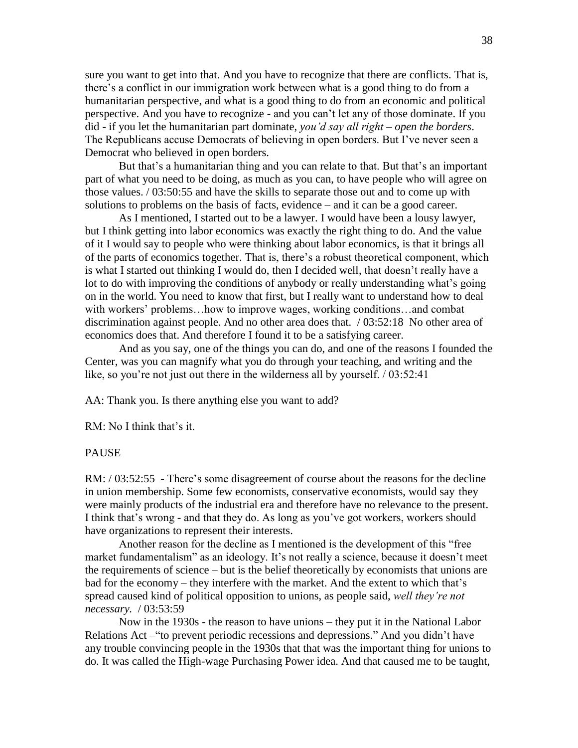sure you want to get into that. And you have to recognize that there are conflicts. That is, there's a conflict in our immigration work between what is a good thing to do from a humanitarian perspective, and what is a good thing to do from an economic and political perspective. And you have to recognize - and you can't let any of those dominate. If you did - if you let the humanitarian part dominate, *you'd say all right – open the borders*. The Republicans accuse Democrats of believing in open borders. But I've never seen a Democrat who believed in open borders.

But that's a humanitarian thing and you can relate to that. But that's an important part of what you need to be doing, as much as you can, to have people who will agree on those values. / 03:50:55 and have the skills to separate those out and to come up with solutions to problems on the basis of facts, evidence – and it can be a good career.

As I mentioned, I started out to be a lawyer. I would have been a lousy lawyer, but I think getting into labor economics was exactly the right thing to do. And the value of it I would say to people who were thinking about labor economics, is that it brings all of the parts of economics together. That is, there's a robust theoretical component, which is what I started out thinking I would do, then I decided well, that doesn't really have a lot to do with improving the conditions of anybody or really understanding what's going on in the world. You need to know that first, but I really want to understand how to deal with workers' problems…how to improve wages, working conditions…and combat discrimination against people. And no other area does that. / 03:52:18 No other area of economics does that. And therefore I found it to be a satisfying career.

And as you say, one of the things you can do, and one of the reasons I founded the Center, was you can magnify what you do through your teaching, and writing and the like, so you're not just out there in the wilderness all by yourself. / 03:52:41

AA: Thank you. Is there anything else you want to add?

RM: No I think that's it.

# **PAUSE**

RM: / 03:52:55 - There's some disagreement of course about the reasons for the decline in union membership. Some few economists, conservative economists, would say they were mainly products of the industrial era and therefore have no relevance to the present. I think that's wrong - and that they do. As long as you've got workers, workers should have organizations to represent their interests.

Another reason for the decline as I mentioned is the development of this "free market fundamentalism" as an ideology. It's not really a science, because it doesn't meet the requirements of science – but is the belief theoretically by economists that unions are bad for the economy – they interfere with the market. And the extent to which that's spread caused kind of political opposition to unions, as people said, *well they're not necessary.* / 03:53:59

Now in the 1930s - the reason to have unions – they put it in the National Labor Relations Act –"to prevent periodic recessions and depressions." And you didn't have any trouble convincing people in the 1930s that that was the important thing for unions to do. It was called the High-wage Purchasing Power idea. And that caused me to be taught,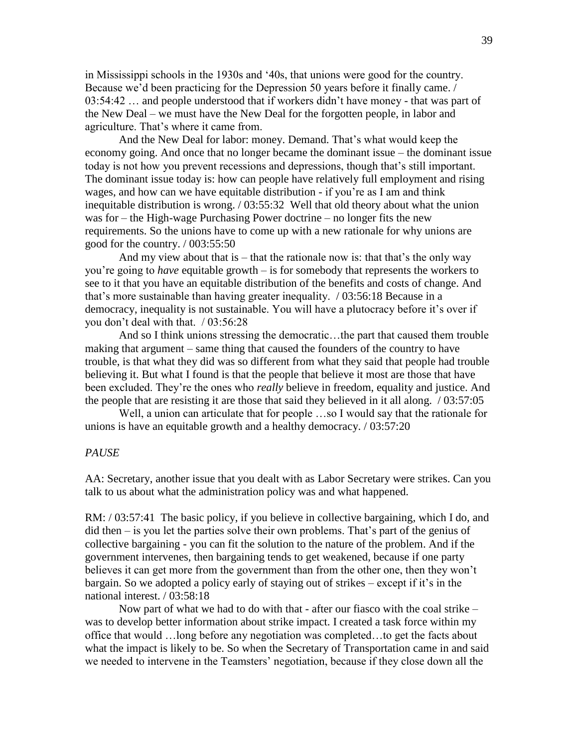in Mississippi schools in the 1930s and '40s, that unions were good for the country. Because we'd been practicing for the Depression 50 years before it finally came. / 03:54:42 … and people understood that if workers didn't have money - that was part of the New Deal – we must have the New Deal for the forgotten people, in labor and agriculture. That's where it came from.

And the New Deal for labor: money. Demand. That's what would keep the economy going. And once that no longer became the dominant issue – the dominant issue today is not how you prevent recessions and depressions, though that's still important. The dominant issue today is: how can people have relatively full employment and rising wages, and how can we have equitable distribution - if you're as I am and think inequitable distribution is wrong. / 03:55:32 Well that old theory about what the union was for – the High-wage Purchasing Power doctrine – no longer fits the new requirements. So the unions have to come up with a new rationale for why unions are good for the country. / 003:55:50

And my view about that is  $-$  that the rationale now is: that that's the only way you're going to *have* equitable growth – is for somebody that represents the workers to see to it that you have an equitable distribution of the benefits and costs of change. And that's more sustainable than having greater inequality. / 03:56:18 Because in a democracy, inequality is not sustainable. You will have a plutocracy before it's over if you don't deal with that. / 03:56:28

And so I think unions stressing the democratic…the part that caused them trouble making that argument – same thing that caused the founders of the country to have trouble, is that what they did was so different from what they said that people had trouble believing it. But what I found is that the people that believe it most are those that have been excluded. They're the ones who *really* believe in freedom, equality and justice. And the people that are resisting it are those that said they believed in it all along. / 03:57:05

Well, a union can articulate that for people …so I would say that the rationale for unions is have an equitable growth and a healthy democracy. / 03:57:20

#### *PAUSE*

AA: Secretary, another issue that you dealt with as Labor Secretary were strikes. Can you talk to us about what the administration policy was and what happened.

RM: / 03:57:41 The basic policy, if you believe in collective bargaining, which I do, and did then – is you let the parties solve their own problems. That's part of the genius of collective bargaining - you can fit the solution to the nature of the problem. And if the government intervenes, then bargaining tends to get weakened, because if one party believes it can get more from the government than from the other one, then they won't bargain. So we adopted a policy early of staying out of strikes – except if it's in the national interest. / 03:58:18

Now part of what we had to do with that - after our fiasco with the coal strike – was to develop better information about strike impact. I created a task force within my office that would …long before any negotiation was completed…to get the facts about what the impact is likely to be. So when the Secretary of Transportation came in and said we needed to intervene in the Teamsters' negotiation, because if they close down all the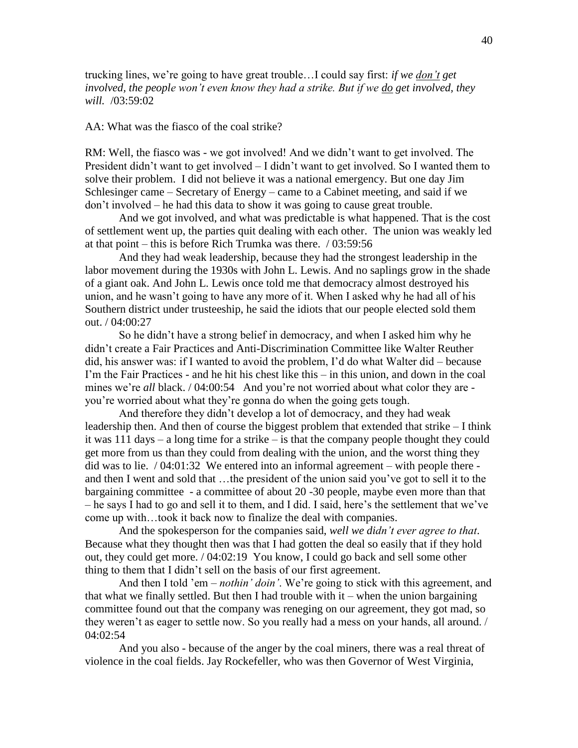trucking lines, we're going to have great trouble…I could say first: *if we don't get involved, the people won't even know they had a strike. But if we do get involved, they will.* /03:59:02

## AA: What was the fiasco of the coal strike?

RM: Well, the fiasco was - we got involved! And we didn't want to get involved. The President didn't want to get involved – I didn't want to get involved. So I wanted them to solve their problem. I did not believe it was a national emergency. But one day Jim Schlesinger came – Secretary of Energy – came to a Cabinet meeting, and said if we don't involved – he had this data to show it was going to cause great trouble.

And we got involved, and what was predictable is what happened. That is the cost of settlement went up, the parties quit dealing with each other. The union was weakly led at that point – this is before Rich Trumka was there. / 03:59:56

And they had weak leadership, because they had the strongest leadership in the labor movement during the 1930s with John L. Lewis. And no saplings grow in the shade of a giant oak. And John L. Lewis once told me that democracy almost destroyed his union, and he wasn't going to have any more of it. When I asked why he had all of his Southern district under trusteeship, he said the idiots that our people elected sold them out. / 04:00:27

So he didn't have a strong belief in democracy, and when I asked him why he didn't create a Fair Practices and Anti-Discrimination Committee like Walter Reuther did, his answer was: if I wanted to avoid the problem, I'd do what Walter did – because I'm the Fair Practices - and he hit his chest like this – in this union, and down in the coal mines we're *all* black. / 04:00:54 And you're not worried about what color they are you're worried about what they're gonna do when the going gets tough.

And therefore they didn't develop a lot of democracy, and they had weak leadership then. And then of course the biggest problem that extended that strike – I think it was 111 days – a long time for a strike – is that the company people thought they could get more from us than they could from dealing with the union, and the worst thing they did was to lie. / 04:01:32 We entered into an informal agreement – with people there and then I went and sold that …the president of the union said you've got to sell it to the bargaining committee - a committee of about 20 -30 people, maybe even more than that – he says I had to go and sell it to them, and I did. I said, here's the settlement that we've come up with…took it back now to finalize the deal with companies.

And the spokesperson for the companies said, *well we didn't ever agree to that*. Because what they thought then was that I had gotten the deal so easily that if they hold out, they could get more. / 04:02:19 You know, I could go back and sell some other thing to them that I didn't sell on the basis of our first agreement.

And then I told 'em – *nothin' doin'*. We're going to stick with this agreement, and that what we finally settled. But then I had trouble with  $it$  – when the union bargaining committee found out that the company was reneging on our agreement, they got mad, so they weren't as eager to settle now. So you really had a mess on your hands, all around. / 04:02:54

And you also - because of the anger by the coal miners, there was a real threat of violence in the coal fields. Jay Rockefeller, who was then Governor of West Virginia,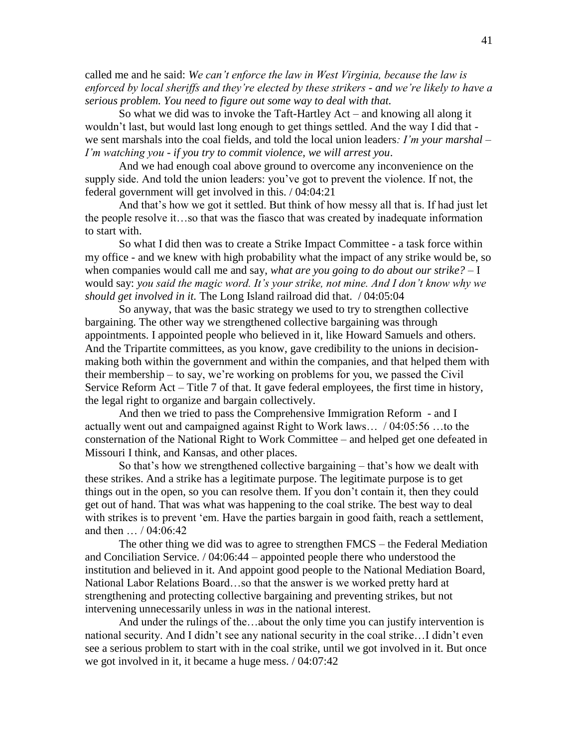called me and he said: *We can't enforce the law in West Virginia, because the law is enforced by local sheriffs and they're elected by these strikers - and we're likely to have a serious problem. You need to figure out some way to deal with that.*

So what we did was to invoke the Taft-Hartley Act – and knowing all along it wouldn't last, but would last long enough to get things settled. And the way I did that we sent marshals into the coal fields, and told the local union leaders*: I'm your marshal – I'm watching you - if you try to commit violence, we will arrest you*.

And we had enough coal above ground to overcome any inconvenience on the supply side. And told the union leaders: you've got to prevent the violence. If not, the federal government will get involved in this. / 04:04:21

And that's how we got it settled. But think of how messy all that is. If had just let the people resolve it…so that was the fiasco that was created by inadequate information to start with.

So what I did then was to create a Strike Impact Committee - a task force within my office - and we knew with high probability what the impact of any strike would be, so when companies would call me and say, *what are you going to do about our strike?* – I would say: *you said the magic word. It's your strike, not mine. And I don't know why we should get involved in it.* The Long Island railroad did that. / 04:05:04

So anyway, that was the basic strategy we used to try to strengthen collective bargaining. The other way we strengthened collective bargaining was through appointments. I appointed people who believed in it, like Howard Samuels and others. And the Tripartite committees, as you know, gave credibility to the unions in decisionmaking both within the government and within the companies, and that helped them with their membership – to say, we're working on problems for you, we passed the Civil Service Reform Act – Title 7 of that. It gave federal employees, the first time in history, the legal right to organize and bargain collectively.

And then we tried to pass the Comprehensive Immigration Reform - and I actually went out and campaigned against Right to Work laws… / 04:05:56 …to the consternation of the National Right to Work Committee – and helped get one defeated in Missouri I think, and Kansas, and other places.

So that's how we strengthened collective bargaining – that's how we dealt with these strikes. And a strike has a legitimate purpose. The legitimate purpose is to get things out in the open, so you can resolve them. If you don't contain it, then they could get out of hand. That was what was happening to the coal strike. The best way to deal with strikes is to prevent 'em. Have the parties bargain in good faith, reach a settlement, and then … / 04:06:42

The other thing we did was to agree to strengthen FMCS – the Federal Mediation and Conciliation Service. / 04:06:44 – appointed people there who understood the institution and believed in it. And appoint good people to the National Mediation Board, National Labor Relations Board…so that the answer is we worked pretty hard at strengthening and protecting collective bargaining and preventing strikes, but not intervening unnecessarily unless in *was* in the national interest.

And under the rulings of the…about the only time you can justify intervention is national security. And I didn't see any national security in the coal strike…I didn't even see a serious problem to start with in the coal strike, until we got involved in it. But once we got involved in it, it became a huge mess. / 04:07:42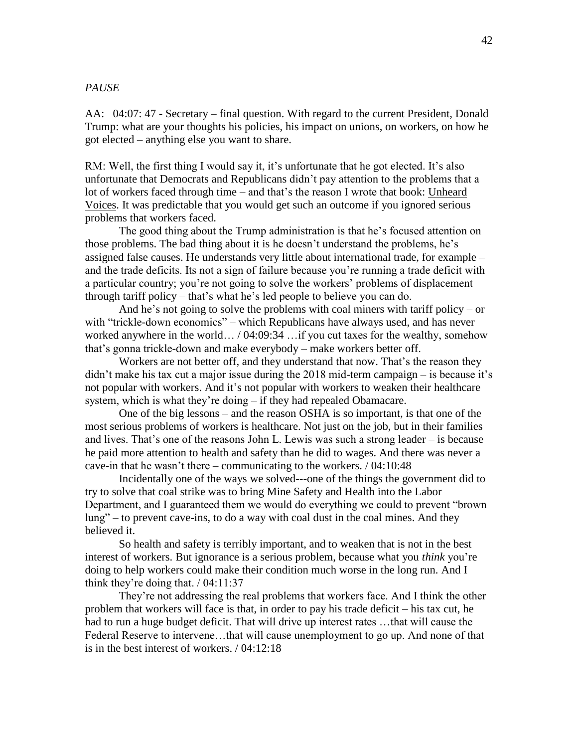# *PAUSE*

AA: 04:07: 47 - Secretary – final question. With regard to the current President, Donald Trump: what are your thoughts his policies, his impact on unions, on workers, on how he got elected – anything else you want to share.

RM: Well, the first thing I would say it, it's unfortunate that he got elected. It's also unfortunate that Democrats and Republicans didn't pay attention to the problems that a lot of workers faced through time – and that's the reason I wrote that book: Unheard Voices. It was predictable that you would get such an outcome if you ignored serious problems that workers faced.

The good thing about the Trump administration is that he's focused attention on those problems. The bad thing about it is he doesn't understand the problems, he's assigned false causes. He understands very little about international trade, for example – and the trade deficits. Its not a sign of failure because you're running a trade deficit with a particular country; you're not going to solve the workers' problems of displacement through tariff policy – that's what he's led people to believe you can do.

And he's not going to solve the problems with coal miners with tariff policy – or with "trickle-down economics" – which Republicans have always used, and has never worked anywhere in the world… / 04:09:34 …if you cut taxes for the wealthy, somehow that's gonna trickle-down and make everybody – make workers better off.

Workers are not better off, and they understand that now. That's the reason they didn't make his tax cut a major issue during the 2018 mid-term campaign – is because it's not popular with workers. And it's not popular with workers to weaken their healthcare system, which is what they're doing – if they had repealed Obamacare.

One of the big lessons – and the reason OSHA is so important, is that one of the most serious problems of workers is healthcare. Not just on the job, but in their families and lives. That's one of the reasons John L. Lewis was such a strong leader – is because he paid more attention to health and safety than he did to wages. And there was never a cave-in that he wasn't there – communicating to the workers. / 04:10:48

Incidentally one of the ways we solved---one of the things the government did to try to solve that coal strike was to bring Mine Safety and Health into the Labor Department, and I guaranteed them we would do everything we could to prevent "brown lung" – to prevent cave-ins, to do a way with coal dust in the coal mines. And they believed it.

So health and safety is terribly important, and to weaken that is not in the best interest of workers. But ignorance is a serious problem, because what you *think* you're doing to help workers could make their condition much worse in the long run. And I think they're doing that.  $/ 04:11:37$ 

They're not addressing the real problems that workers face. And I think the other problem that workers will face is that, in order to pay his trade deficit – his tax cut, he had to run a huge budget deficit. That will drive up interest rates …that will cause the Federal Reserve to intervene…that will cause unemployment to go up. And none of that is in the best interest of workers. / 04:12:18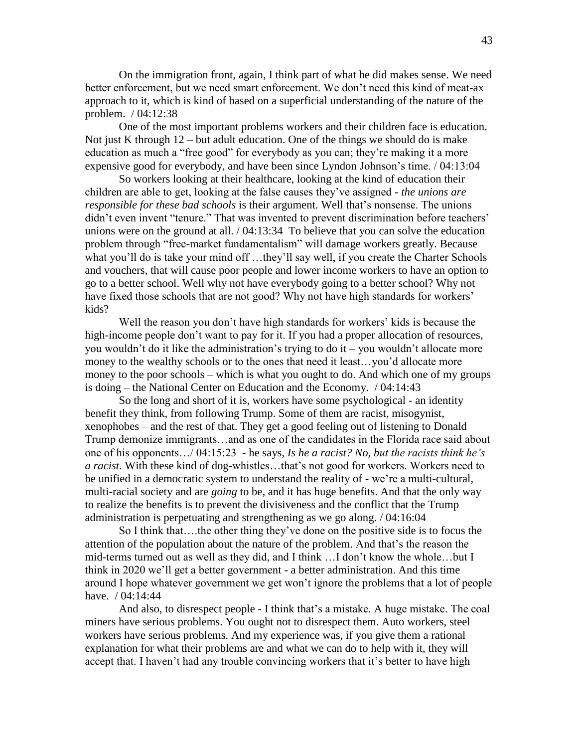On the immigration front, again, I think part of what he did makes sense. We need better enforcement, but we need smart enforcement. We don't need this kind of meat-ax approach to it, which is kind of based on a superficial understanding of the nature of the problem. / 04:12:38

One of the most important problems workers and their children face is education. Not just K through  $12$  – but adult education. One of the things we should do is make education as much a "free good" for everybody as you can; they're making it a more expensive good for everybody, and have been since Lyndon Johnson's time. / 04:13:04

So workers looking at their healthcare, looking at the kind of education their children are able to get, looking at the false causes they've assigned - *the unions are responsible for these bad schools* is their argument. Well that's nonsense. The unions didn't even invent "tenure." That was invented to prevent discrimination before teachers' unions were on the ground at all. / 04:13:34 To believe that you can solve the education problem through "free-market fundamentalism" will damage workers greatly. Because what you'll do is take your mind off ...they'll say well, if you create the Charter Schools and vouchers, that will cause poor people and lower income workers to have an option to go to a better school. Well why not have everybody going to a better school? Why not have fixed those schools that are not good? Why not have high standards for workers' kids?

Well the reason you don't have high standards for workers' kids is because the high-income people don't want to pay for it. If you had a proper allocation of resources, you wouldn't do it like the administration's trying to do it – you wouldn't allocate more money to the wealthy schools or to the ones that need it least…you'd allocate more money to the poor schools – which is what you ought to do. And which one of my groups is doing – the National Center on Education and the Economy. / 04:14:43

So the long and short of it is, workers have some psychological - an identity benefit they think, from following Trump. Some of them are racist, misogynist, xenophobes – and the rest of that. They get a good feeling out of listening to Donald Trump demonize immigrants…and as one of the candidates in the Florida race said about one of his opponents…/ 04:15:23 - he says, *Is he a racist? No, but the racists think he's a racist.* With these kind of dog-whistles…that's not good for workers. Workers need to be unified in a democratic system to understand the reality of - we're a multi-cultural, multi-racial society and are *going* to be, and it has huge benefits. And that the only way to realize the benefits is to prevent the divisiveness and the conflict that the Trump administration is perpetuating and strengthening as we go along. / 04:16:04

So I think that….the other thing they've done on the positive side is to focus the attention of the population about the nature of the problem. And that's the reason the mid-terms turned out as well as they did, and I think …I don't know the whole…but I think in 2020 we'll get a better government - a better administration. And this time around I hope whatever government we get won't ignore the problems that a lot of people have. / 04:14:44

And also, to disrespect people - I think that's a mistake. A huge mistake. The coal miners have serious problems. You ought not to disrespect them. Auto workers, steel workers have serious problems. And my experience was, if you give them a rational explanation for what their problems are and what we can do to help with it, they will accept that. I haven't had any trouble convincing workers that it's better to have high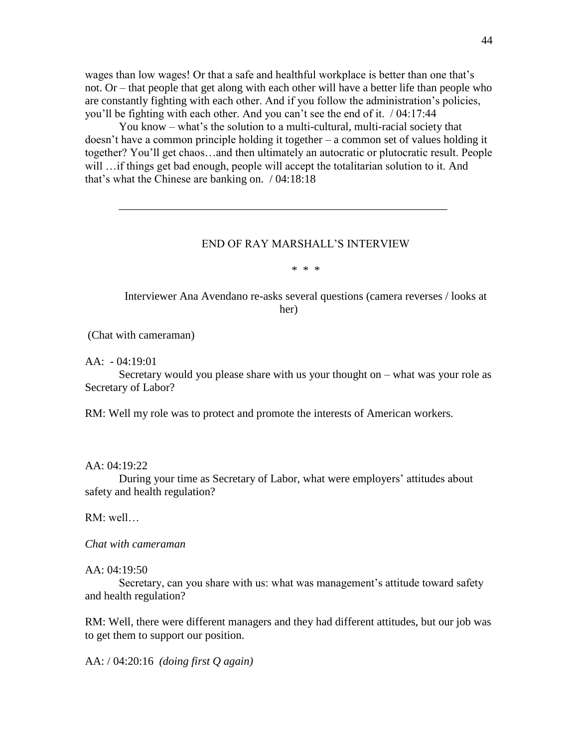wages than low wages! Or that a safe and healthful workplace is better than one that's not. Or – that people that get along with each other will have a better life than people who are constantly fighting with each other. And if you follow the administration's policies, you'll be fighting with each other. And you can't see the end of it. / 04:17:44

You know – what's the solution to a multi-cultural, multi-racial society that doesn't have a common principle holding it together – a common set of values holding it together? You'll get chaos…and then ultimately an autocratic or plutocratic result. People will …if things get bad enough, people will accept the totalitarian solution to it. And that's what the Chinese are banking on. / 04:18:18

\_\_\_\_\_\_\_\_\_\_\_\_\_\_\_\_\_\_\_\_\_\_\_\_\_\_\_\_\_\_\_\_\_\_\_\_\_\_\_\_\_\_\_\_\_\_\_\_\_\_\_\_\_\_\_\_\_\_

## END OF RAY MARSHALL'S INTERVIEW

\* \* \*

Interviewer Ana Avendano re-asks several questions (camera reverses / looks at her)

(Chat with cameraman)

 $AA: -04:19:01$ 

Secretary would you please share with us your thought on – what was your role as Secretary of Labor?

RM: Well my role was to protect and promote the interests of American workers.

AA: 04:19:22

During your time as Secretary of Labor, what were employers' attitudes about safety and health regulation?

RM: well…

*Chat with cameraman*

AA: 04:19:50

Secretary, can you share with us: what was management's attitude toward safety and health regulation?

RM: Well, there were different managers and they had different attitudes, but our job was to get them to support our position.

AA: / 04:20:16 *(doing first Q again)*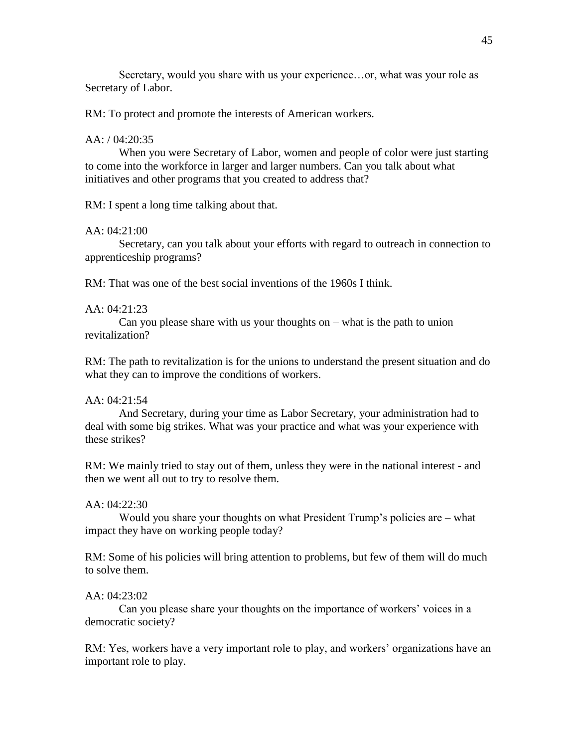Secretary, would you share with us your experience…or, what was your role as Secretary of Labor.

RM: To protect and promote the interests of American workers.

#### AA: / 04:20:35

When you were Secretary of Labor, women and people of color were just starting to come into the workforce in larger and larger numbers. Can you talk about what initiatives and other programs that you created to address that?

RM: I spent a long time talking about that.

# AA: 04:21:00

Secretary, can you talk about your efforts with regard to outreach in connection to apprenticeship programs?

RM: That was one of the best social inventions of the 1960s I think.

#### AA: 04:21:23

Can you please share with us your thoughts on  $-$  what is the path to union revitalization?

RM: The path to revitalization is for the unions to understand the present situation and do what they can to improve the conditions of workers.

# AA: 04:21:54

And Secretary, during your time as Labor Secretary, your administration had to deal with some big strikes. What was your practice and what was your experience with these strikes?

RM: We mainly tried to stay out of them, unless they were in the national interest - and then we went all out to try to resolve them.

#### AA: 04:22:30

Would you share your thoughts on what President Trump's policies are – what impact they have on working people today?

RM: Some of his policies will bring attention to problems, but few of them will do much to solve them.

#### AA: 04:23:02

Can you please share your thoughts on the importance of workers' voices in a democratic society?

RM: Yes, workers have a very important role to play, and workers' organizations have an important role to play.